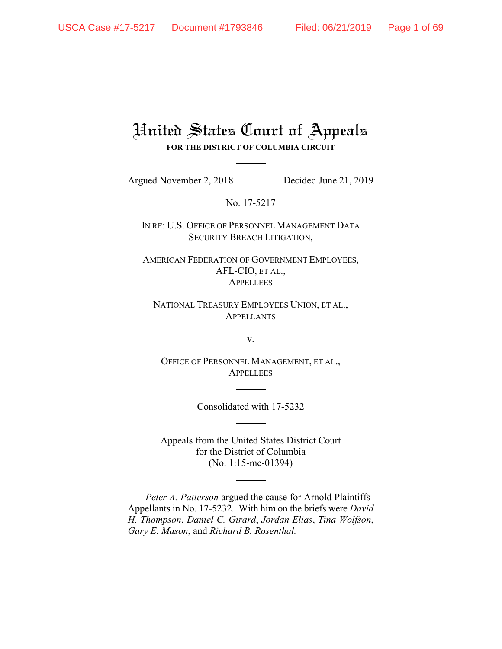# United States Court of Appeals **FOR THE DISTRICT OF COLUMBIA CIRCUIT**

Argued November 2, 2018 Decided June 21, 2019

No. 17-5217

IN RE: U.S. OFFICE OF PERSONNEL MANAGEMENT DATA SECURITY BREACH LITIGATION,

AMERICAN FEDERATION OF GOVERNMENT EMPLOYEES, AFL-CIO, ET AL., **APPELLEES** 

NATIONAL TREASURY EMPLOYEES UNION, ET AL., APPELLANTS

v.

OFFICE OF PERSONNEL MANAGEMENT, ET AL., **APPELLEES** 

Consolidated with 17-5232

Appeals from the United States District Court for the District of Columbia (No. 1:15-mc-01394)

*Peter A. Patterson* argued the cause for Arnold Plaintiffs-Appellants in No. 17-5232. With him on the briefs were *David H. Thompson*, *Daniel C. Girard*, *Jordan Elias*, *Tina Wolfson*, *Gary E. Mason*, and *Richard B. Rosenthal.*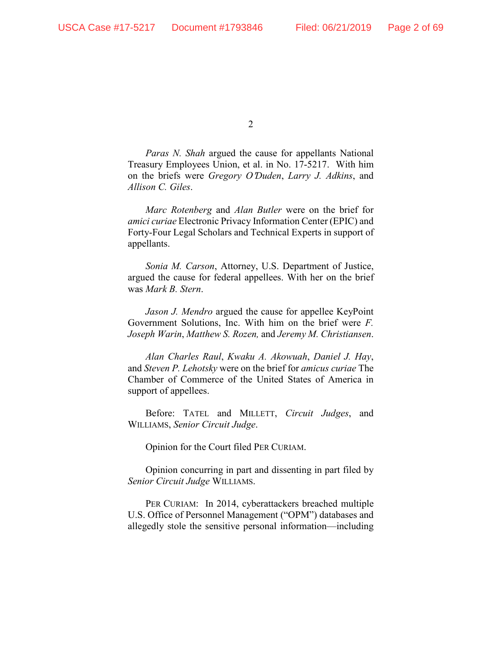*Paras N. Shah* argued the cause for appellants National Treasury Employees Union, et al. in No. 17-5217. With him on the briefs were *Gregory O*=*Duden*, *Larry J. Adkins*, and *Allison C. Giles*.

*Marc Rotenberg* and *Alan Butler* were on the brief for *amici curiae* Electronic Privacy Information Center (EPIC) and Forty-Four Legal Scholars and Technical Experts in support of appellants.

*Sonia M. Carson*, Attorney, U.S. Department of Justice, argued the cause for federal appellees. With her on the brief was *Mark B. Stern*.

*Jason J. Mendro* argued the cause for appellee KeyPoint Government Solutions, Inc. With him on the brief were *F. Joseph Warin*, *Matthew S. Rozen,* and *Jeremy M. Christiansen*.

*Alan Charles Raul*, *Kwaku A. Akowuah*, *Daniel J. Hay*, and *Steven P. Lehotsky* were on the brief for *amicus curiae* The Chamber of Commerce of the United States of America in support of appellees.

Before: TATEL and MILLETT, *Circuit Judges*, and WILLIAMS, *Senior Circuit Judge*.

Opinion for the Court filed PER CURIAM.

Opinion concurring in part and dissenting in part filed by *Senior Circuit Judge* WILLIAMS.

PER CURIAM: In 2014, cyberattackers breached multiple U.S. Office of Personnel Management ("OPM") databases and allegedly stole the sensitive personal information—including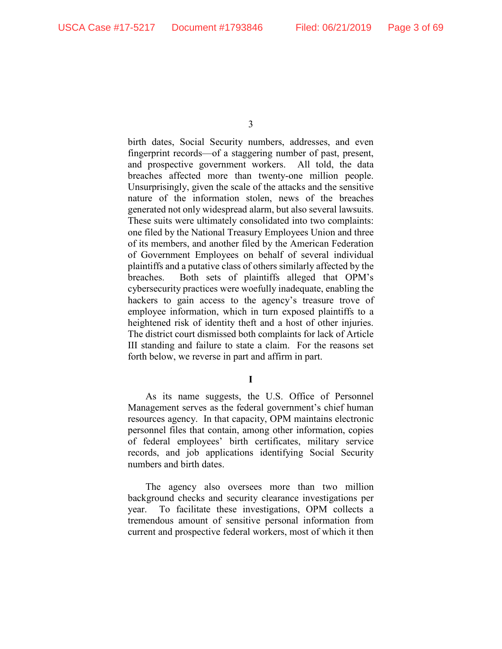birth dates, Social Security numbers, addresses, and even fingerprint records—of a staggering number of past, present, and prospective government workers. All told, the data breaches affected more than twenty-one million people. Unsurprisingly, given the scale of the attacks and the sensitive nature of the information stolen, news of the breaches generated not only widespread alarm, but also several lawsuits. These suits were ultimately consolidated into two complaints: one filed by the National Treasury Employees Union and three of its members, and another filed by the American Federation of Government Employees on behalf of several individual plaintiffs and a putative class of others similarly affected by the breaches. Both sets of plaintiffs alleged that OPM's cybersecurity practices were woefully inadequate, enabling the hackers to gain access to the agency's treasure trove of employee information, which in turn exposed plaintiffs to a heightened risk of identity theft and a host of other injuries. The district court dismissed both complaints for lack of Article III standing and failure to state a claim. For the reasons set forth below, we reverse in part and affirm in part.

**I**

As its name suggests, the U.S. Office of Personnel Management serves as the federal government's chief human resources agency. In that capacity, OPM maintains electronic personnel files that contain, among other information, copies of federal employees' birth certificates, military service records, and job applications identifying Social Security numbers and birth dates.

The agency also oversees more than two million background checks and security clearance investigations per year. To facilitate these investigations, OPM collects a tremendous amount of sensitive personal information from current and prospective federal workers, most of which it then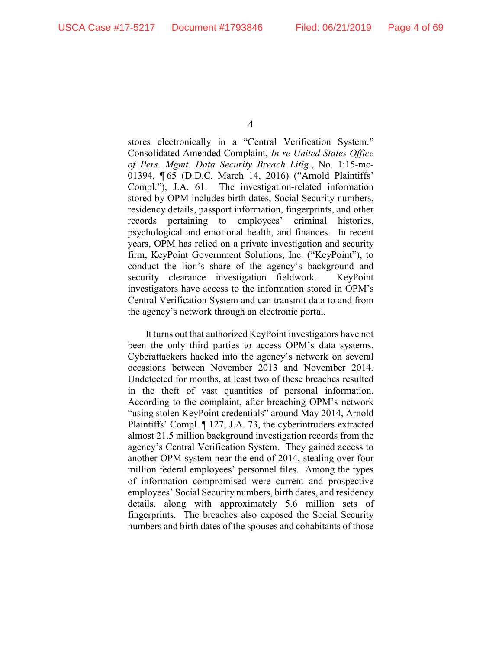stores electronically in a "Central Verification System." Consolidated Amended Complaint, *In re United States Office of Pers. Mgmt. Data Security Breach Litig.*, No. 1:15-mc-01394, ¶ 65 (D.D.C. March 14, 2016) ("Arnold Plaintiffs' Compl."), J.A. 61. The investigation-related information stored by OPM includes birth dates, Social Security numbers, residency details, passport information, fingerprints, and other records pertaining to employees' criminal histories, psychological and emotional health, and finances. In recent years, OPM has relied on a private investigation and security firm, KeyPoint Government Solutions, Inc. ("KeyPoint"), to conduct the lion's share of the agency's background and security clearance investigation fieldwork. KeyPoint investigators have access to the information stored in OPM's Central Verification System and can transmit data to and from the agency's network through an electronic portal.

It turns out that authorized KeyPoint investigators have not been the only third parties to access OPM's data systems. Cyberattackers hacked into the agency's network on several occasions between November 2013 and November 2014. Undetected for months, at least two of these breaches resulted in the theft of vast quantities of personal information. According to the complaint, after breaching OPM's network "using stolen KeyPoint credentials" around May 2014, Arnold Plaintiffs' Compl. ¶ 127, J.A. 73, the cyberintruders extracted almost 21.5 million background investigation records from the agency's Central Verification System. They gained access to another OPM system near the end of 2014, stealing over four million federal employees' personnel files. Among the types of information compromised were current and prospective employees' Social Security numbers, birth dates, and residency details, along with approximately 5.6 million sets of fingerprints. The breaches also exposed the Social Security numbers and birth dates of the spouses and cohabitants of those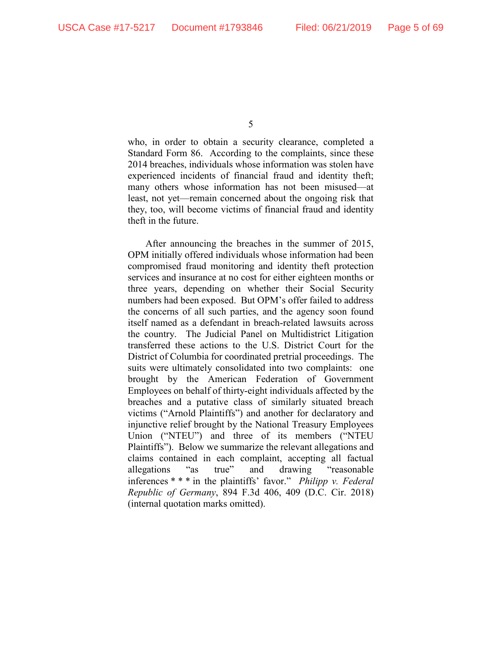who, in order to obtain a security clearance, completed a Standard Form 86. According to the complaints, since these 2014 breaches, individuals whose information was stolen have experienced incidents of financial fraud and identity theft; many others whose information has not been misused—at least, not yet—remain concerned about the ongoing risk that they, too, will become victims of financial fraud and identity theft in the future.

After announcing the breaches in the summer of 2015, OPM initially offered individuals whose information had been compromised fraud monitoring and identity theft protection services and insurance at no cost for either eighteen months or three years, depending on whether their Social Security numbers had been exposed. But OPM's offer failed to address the concerns of all such parties, and the agency soon found itself named as a defendant in breach-related lawsuits across the country. The Judicial Panel on Multidistrict Litigation transferred these actions to the U.S. District Court for the District of Columbia for coordinated pretrial proceedings. The suits were ultimately consolidated into two complaints: one brought by the American Federation of Government Employees on behalf of thirty-eight individuals affected by the breaches and a putative class of similarly situated breach victims ("Arnold Plaintiffs") and another for declaratory and injunctive relief brought by the National Treasury Employees Union ("NTEU") and three of its members ("NTEU Plaintiffs"). Below we summarize the relevant allegations and claims contained in each complaint, accepting all factual allegations "as true" and drawing "reasonable inferences \* \* \* in the plaintiffs' favor." *Philipp v. Federal Republic of Germany*, 894 F.3d 406, 409 (D.C. Cir. 2018) (internal quotation marks omitted).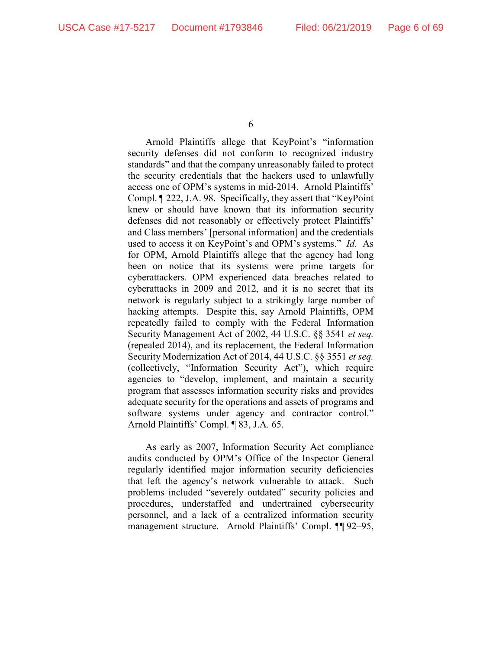Arnold Plaintiffs allege that KeyPoint's "information security defenses did not conform to recognized industry standards" and that the company unreasonably failed to protect the security credentials that the hackers used to unlawfully access one of OPM's systems in mid-2014. Arnold Plaintiffs' Compl. ¶ 222, J.A. 98. Specifically, they assert that "KeyPoint knew or should have known that its information security defenses did not reasonably or effectively protect Plaintiffs' and Class members' [personal information] and the credentials used to access it on KeyPoint's and OPM's systems." *Id.* As for OPM, Arnold Plaintiffs allege that the agency had long been on notice that its systems were prime targets for cyberattackers. OPM experienced data breaches related to cyberattacks in 2009 and 2012, and it is no secret that its network is regularly subject to a strikingly large number of hacking attempts. Despite this, say Arnold Plaintiffs, OPM repeatedly failed to comply with the Federal Information Security Management Act of 2002, 44 U.S.C. §§ 3541 *et seq.* (repealed 2014), and its replacement, the Federal Information Security Modernization Act of 2014, 44 U.S.C. §§ 3551 *et seq.* (collectively, "Information Security Act"), which require agencies to "develop, implement, and maintain a security program that assesses information security risks and provides adequate security for the operations and assets of programs and software systems under agency and contractor control." Arnold Plaintiffs' Compl. ¶ 83, J.A. 65.

As early as 2007, Information Security Act compliance audits conducted by OPM's Office of the Inspector General regularly identified major information security deficiencies that left the agency's network vulnerable to attack. Such problems included "severely outdated" security policies and procedures, understaffed and undertrained cybersecurity personnel, and a lack of a centralized information security management structure. Arnold Plaintiffs' Compl. ¶¶ 92–95,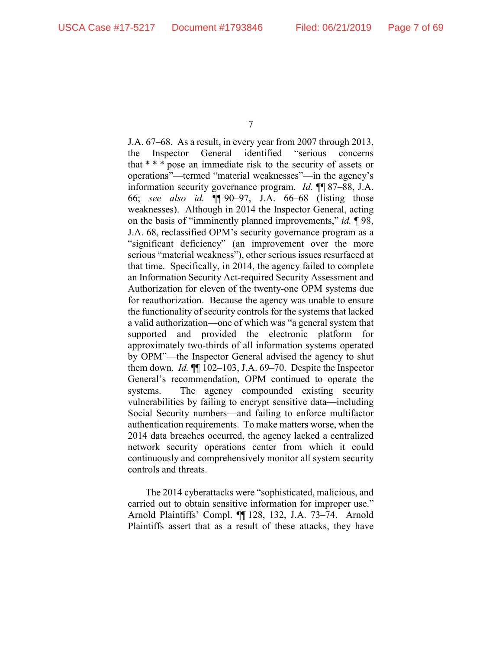J.A. 67–68. As a result, in every year from 2007 through 2013, the Inspector General identified "serious concerns that \* \* \* pose an immediate risk to the security of assets or operations"—termed "material weaknesses"—in the agency's information security governance program. *Id.* ¶¶ 87–88, J.A. 66; *see also id.* ¶¶ 90–97, J.A. 66–68 (listing those weaknesses). Although in 2014 the Inspector General, acting on the basis of "imminently planned improvements," *id.* ¶ 98, J.A. 68, reclassified OPM's security governance program as a "significant deficiency" (an improvement over the more serious "material weakness"), other serious issues resurfaced at that time. Specifically, in 2014, the agency failed to complete an Information Security Act-required Security Assessment and Authorization for eleven of the twenty-one OPM systems due for reauthorization. Because the agency was unable to ensure the functionality of security controls for the systems that lacked a valid authorization—one of which was "a general system that supported and provided the electronic platform for approximately two-thirds of all information systems operated by OPM"—the Inspector General advised the agency to shut them down. *Id.* ¶¶ 102–103, J.A. 69–70. Despite the Inspector General's recommendation, OPM continued to operate the systems. The agency compounded existing security vulnerabilities by failing to encrypt sensitive data—including Social Security numbers—and failing to enforce multifactor authentication requirements. To make matters worse, when the 2014 data breaches occurred, the agency lacked a centralized network security operations center from which it could continuously and comprehensively monitor all system security controls and threats.

The 2014 cyberattacks were "sophisticated, malicious, and carried out to obtain sensitive information for improper use." Arnold Plaintiffs' Compl. ¶¶ 128, 132, J.A. 73–74. Arnold Plaintiffs assert that as a result of these attacks, they have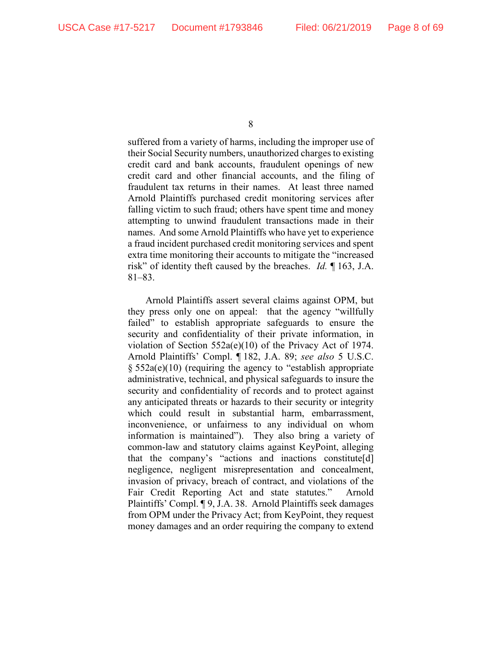suffered from a variety of harms, including the improper use of their Social Security numbers, unauthorized charges to existing credit card and bank accounts, fraudulent openings of new credit card and other financial accounts, and the filing of fraudulent tax returns in their names. At least three named Arnold Plaintiffs purchased credit monitoring services after falling victim to such fraud; others have spent time and money attempting to unwind fraudulent transactions made in their names. And some Arnold Plaintiffs who have yet to experience a fraud incident purchased credit monitoring services and spent extra time monitoring their accounts to mitigate the "increased risk" of identity theft caused by the breaches. *Id.* ¶ 163, J.A. 81–83.

Arnold Plaintiffs assert several claims against OPM, but they press only one on appeal: that the agency "willfully failed" to establish appropriate safeguards to ensure the security and confidentiality of their private information, in violation of Section 552a(e)(10) of the Privacy Act of 1974. Arnold Plaintiffs' Compl. ¶ 182, J.A. 89; *see also* 5 U.S.C. § 552a(e)(10) (requiring the agency to "establish appropriate administrative, technical, and physical safeguards to insure the security and confidentiality of records and to protect against any anticipated threats or hazards to their security or integrity which could result in substantial harm, embarrassment, inconvenience, or unfairness to any individual on whom information is maintained"). They also bring a variety of common-law and statutory claims against KeyPoint, alleging that the company's "actions and inactions constitute[d] negligence, negligent misrepresentation and concealment, invasion of privacy, breach of contract, and violations of the Fair Credit Reporting Act and state statutes." Arnold Plaintiffs' Compl. ¶ 9, J.A. 38. Arnold Plaintiffs seek damages from OPM under the Privacy Act; from KeyPoint, they request money damages and an order requiring the company to extend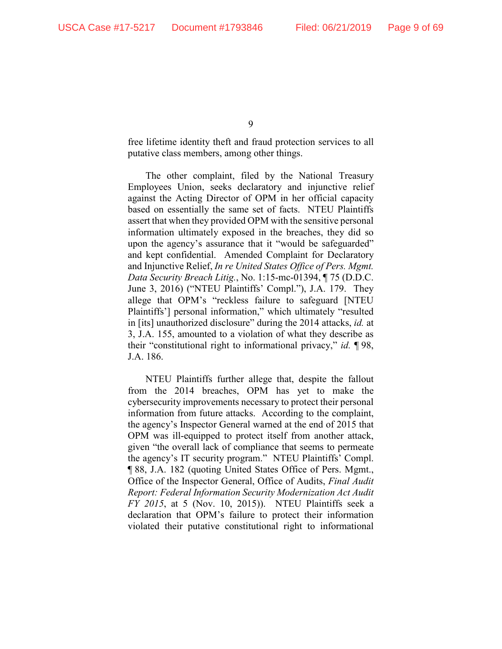free lifetime identity theft and fraud protection services to all putative class members, among other things.

The other complaint, filed by the National Treasury Employees Union, seeks declaratory and injunctive relief against the Acting Director of OPM in her official capacity based on essentially the same set of facts. NTEU Plaintiffs assert that when they provided OPM with the sensitive personal information ultimately exposed in the breaches, they did so upon the agency's assurance that it "would be safeguarded" and kept confidential. Amended Complaint for Declaratory and Injunctive Relief, *In re United States Office of Pers. Mgmt. Data Security Breach Litig.*, No. 1:15-mc-01394, ¶ 75 (D.D.C. June 3, 2016) ("NTEU Plaintiffs' Compl."), J.A. 179. They allege that OPM's "reckless failure to safeguard [NTEU Plaintiffs'] personal information," which ultimately "resulted in [its] unauthorized disclosure" during the 2014 attacks, *id.* at 3, J.A. 155, amounted to a violation of what they describe as their "constitutional right to informational privacy," *id.* ¶ 98, J.A. 186.

NTEU Plaintiffs further allege that, despite the fallout from the 2014 breaches, OPM has yet to make the cybersecurity improvements necessary to protect their personal information from future attacks. According to the complaint, the agency's Inspector General warned at the end of 2015 that OPM was ill-equipped to protect itself from another attack, given "the overall lack of compliance that seems to permeate the agency's IT security program." NTEU Plaintiffs' Compl. ¶ 88, J.A. 182 (quoting United States Office of Pers. Mgmt., Office of the Inspector General, Office of Audits, *Final Audit Report: Federal Information Security Modernization Act Audit FY 2015*, at 5 (Nov. 10, 2015)). NTEU Plaintiffs seek a declaration that OPM's failure to protect their information violated their putative constitutional right to informational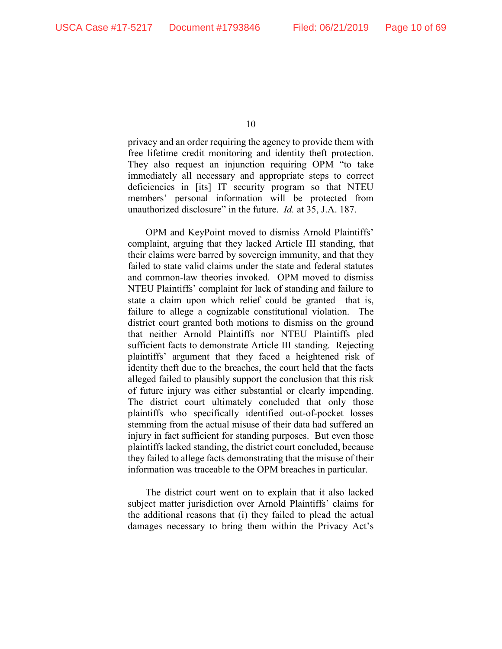privacy and an order requiring the agency to provide them with free lifetime credit monitoring and identity theft protection. They also request an injunction requiring OPM "to take immediately all necessary and appropriate steps to correct deficiencies in [its] IT security program so that NTEU members' personal information will be protected from unauthorized disclosure" in the future. *Id.* at 35, J.A. 187.

OPM and KeyPoint moved to dismiss Arnold Plaintiffs' complaint, arguing that they lacked Article III standing, that their claims were barred by sovereign immunity, and that they failed to state valid claims under the state and federal statutes and common-law theories invoked. OPM moved to dismiss NTEU Plaintiffs' complaint for lack of standing and failure to state a claim upon which relief could be granted—that is, failure to allege a cognizable constitutional violation. The district court granted both motions to dismiss on the ground that neither Arnold Plaintiffs nor NTEU Plaintiffs pled sufficient facts to demonstrate Article III standing. Rejecting plaintiffs' argument that they faced a heightened risk of identity theft due to the breaches, the court held that the facts alleged failed to plausibly support the conclusion that this risk of future injury was either substantial or clearly impending. The district court ultimately concluded that only those plaintiffs who specifically identified out-of-pocket losses stemming from the actual misuse of their data had suffered an injury in fact sufficient for standing purposes. But even those plaintiffs lacked standing, the district court concluded, because they failed to allege facts demonstrating that the misuse of their information was traceable to the OPM breaches in particular.

The district court went on to explain that it also lacked subject matter jurisdiction over Arnold Plaintiffs' claims for the additional reasons that (i) they failed to plead the actual damages necessary to bring them within the Privacy Act's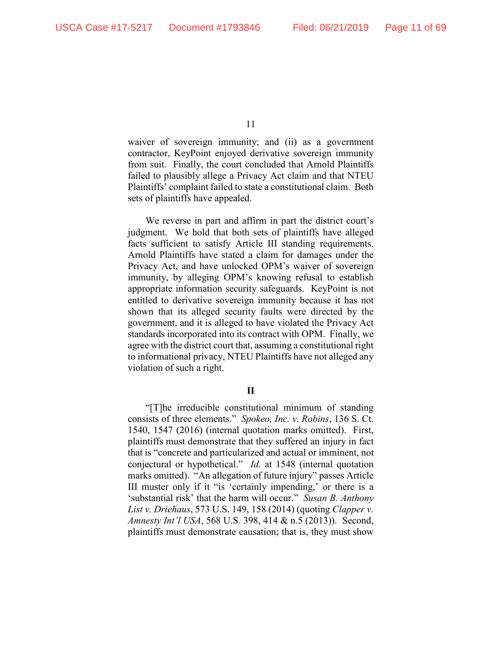waiver of sovereign immunity; and (ii) as a government contractor, KeyPoint enjoyed derivative sovereign immunity from suit. Finally, the court concluded that Arnold Plaintiffs failed to plausibly allege a Privacy Act claim and that NTEU Plaintiffs' complaint failed to state a constitutional claim. Both sets of plaintiffs have appealed.

We reverse in part and affirm in part the district court's judgment. We hold that both sets of plaintiffs have alleged facts sufficient to satisfy Article III standing requirements. Arnold Plaintiffs have stated a claim for damages under the Privacy Act, and have unlocked OPM's waiver of sovereign immunity, by alleging OPM's knowing refusal to establish appropriate information security safeguards. KeyPoint is not entitled to derivative sovereign immunity because it has not shown that its alleged security faults were directed by the government, and it is alleged to have violated the Privacy Act standards incorporated into its contract with OPM. Finally, we agree with the district court that, assuming a constitutional right to informational privacy, NTEU Plaintiffs have not alleged any violation of such a right.

## **II**

"[T]he irreducible constitutional minimum of standing consists of three elements." *Spokeo, Inc. v. Robins*, 136 S. Ct. 1540, 1547 (2016) (internal quotation marks omitted). First, plaintiffs must demonstrate that they suffered an injury in fact that is "concrete and particularized and actual or imminent, not conjectural or hypothetical." *Id.* at 1548 (internal quotation marks omitted). "An allegation of future injury" passes Article III muster only if it "is 'certainly impending,' or there is a 'substantial risk' that the harm will occur." *Susan B. Anthony List v. Driehaus*, 573 U.S. 149, 158 (2014) (quoting *Clapper v. Amnesty Int'l USA*, 568 U.S. 398, 414 & n.5 (2013)). Second, plaintiffs must demonstrate causation; that is, they must show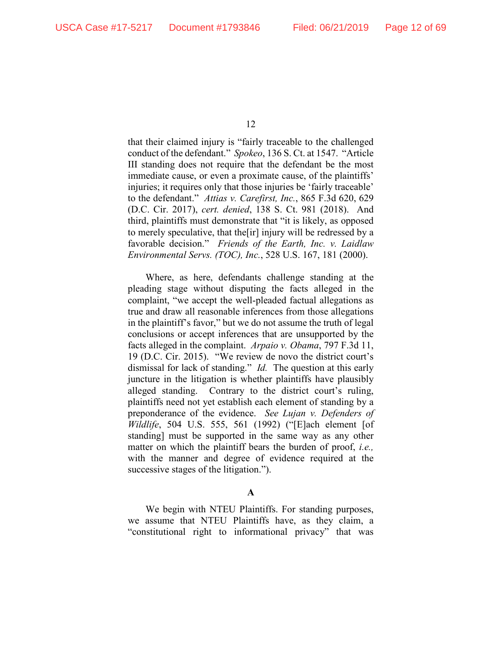that their claimed injury is "fairly traceable to the challenged conduct of the defendant." *Spokeo*, 136 S. Ct. at 1547. "Article III standing does not require that the defendant be the most immediate cause, or even a proximate cause, of the plaintiffs' injuries; it requires only that those injuries be 'fairly traceable' to the defendant." *Attias v. Carefirst, Inc.*, 865 F.3d 620, 629 (D.C. Cir. 2017), *cert. denied*, 138 S. Ct. 981 (2018). And third, plaintiffs must demonstrate that "it is likely, as opposed to merely speculative, that the[ir] injury will be redressed by a favorable decision." *Friends of the Earth, Inc. v. Laidlaw Environmental Servs. (TOC), Inc.*, 528 U.S. 167, 181 (2000).

Where, as here, defendants challenge standing at the pleading stage without disputing the facts alleged in the complaint, "we accept the well-pleaded factual allegations as true and draw all reasonable inferences from those allegations in the plaintiff's favor," but we do not assume the truth of legal conclusions or accept inferences that are unsupported by the facts alleged in the complaint. *Arpaio v. Obama*, 797 F.3d 11, 19 (D.C. Cir. 2015). "We review de novo the district court's dismissal for lack of standing." *Id.* The question at this early juncture in the litigation is whether plaintiffs have plausibly alleged standing. Contrary to the district court's ruling, plaintiffs need not yet establish each element of standing by a preponderance of the evidence. *See Lujan v. Defenders of Wildlife*, 504 U.S. 555, 561 (1992) ("[E]ach element [of standing] must be supported in the same way as any other matter on which the plaintiff bears the burden of proof, *i.e.,* with the manner and degree of evidence required at the successive stages of the litigation.").

## **A**

We begin with NTEU Plaintiffs. For standing purposes, we assume that NTEU Plaintiffs have, as they claim, a "constitutional right to informational privacy" that was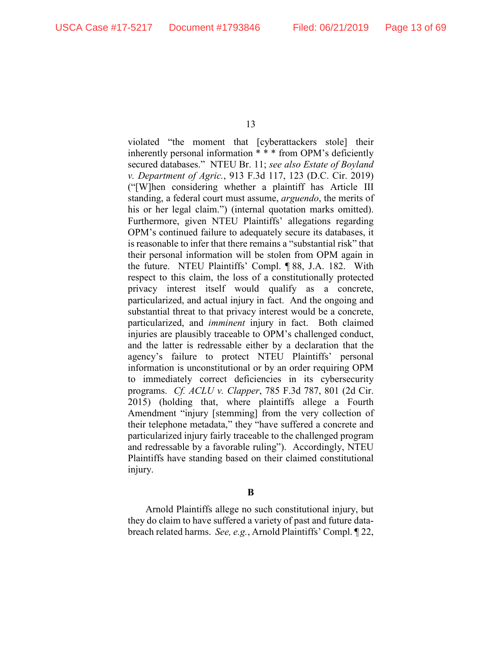violated "the moment that [cyberattackers stole] their inherently personal information \* \* \* from OPM's deficiently secured databases." NTEU Br. 11; *see also Estate of Boyland v. Department of Agric.*, 913 F.3d 117, 123 (D.C. Cir. 2019) ("[W]hen considering whether a plaintiff has Article III standing, a federal court must assume, *arguendo*, the merits of his or her legal claim.") (internal quotation marks omitted). Furthermore, given NTEU Plaintiffs' allegations regarding OPM's continued failure to adequately secure its databases, it is reasonable to infer that there remains a "substantial risk" that their personal information will be stolen from OPM again in the future. NTEU Plaintiffs' Compl. ¶ 88, J.A. 182. With respect to this claim, the loss of a constitutionally protected privacy interest itself would qualify as a concrete, particularized, and actual injury in fact. And the ongoing and substantial threat to that privacy interest would be a concrete, particularized, and *imminent* injury in fact. Both claimed injuries are plausibly traceable to OPM's challenged conduct, and the latter is redressable either by a declaration that the agency's failure to protect NTEU Plaintiffs' personal information is unconstitutional or by an order requiring OPM to immediately correct deficiencies in its cybersecurity programs. *Cf. ACLU v. Clapper*, 785 F.3d 787, 801 (2d Cir. 2015) (holding that, where plaintiffs allege a Fourth Amendment "injury [stemming] from the very collection of their telephone metadata," they "have suffered a concrete and particularized injury fairly traceable to the challenged program and redressable by a favorable ruling"). Accordingly, NTEU Plaintiffs have standing based on their claimed constitutional injury.

**B**

Arnold Plaintiffs allege no such constitutional injury, but they do claim to have suffered a variety of past and future databreach related harms. *See, e.g.*, Arnold Plaintiffs' Compl. ¶ 22,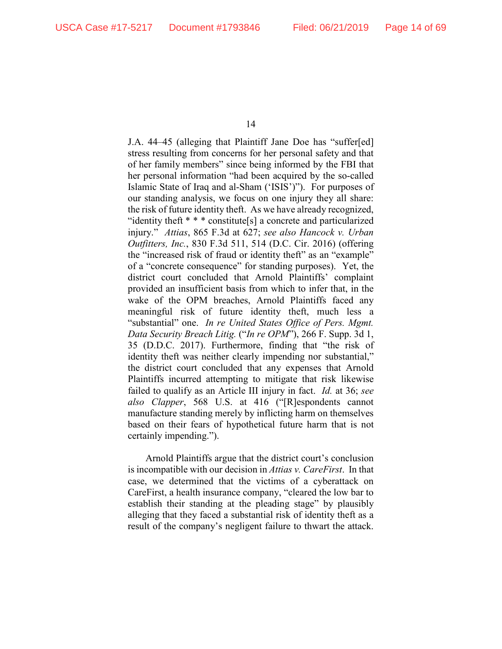J.A. 44–45 (alleging that Plaintiff Jane Doe has "suffer[ed] stress resulting from concerns for her personal safety and that of her family members" since being informed by the FBI that her personal information "had been acquired by the so-called Islamic State of Iraq and al-Sham ('ISIS')"). For purposes of our standing analysis, we focus on one injury they all share: the risk of future identity theft. As we have already recognized, "identity theft \* \* \* constitute[s] a concrete and particularized injury." *Attias*, 865 F.3d at 627; *see also Hancock v. Urban Outfitters, Inc.*, 830 F.3d 511, 514 (D.C. Cir. 2016) (offering the "increased risk of fraud or identity theft" as an "example" of a "concrete consequence" for standing purposes). Yet, the district court concluded that Arnold Plaintiffs' complaint provided an insufficient basis from which to infer that, in the wake of the OPM breaches, Arnold Plaintiffs faced any meaningful risk of future identity theft, much less a "substantial" one. *In re United States Office of Pers. Mgmt. Data Security Breach Litig.* ("*In re OPM*"), 266 F. Supp. 3d 1, 35 (D.D.C. 2017). Furthermore, finding that "the risk of identity theft was neither clearly impending nor substantial," the district court concluded that any expenses that Arnold Plaintiffs incurred attempting to mitigate that risk likewise failed to qualify as an Article III injury in fact. *Id.* at 36; *see also Clapper*, 568 U.S. at 416 ("[R]espondents cannot manufacture standing merely by inflicting harm on themselves based on their fears of hypothetical future harm that is not certainly impending.").

Arnold Plaintiffs argue that the district court's conclusion is incompatible with our decision in *Attias v. CareFirst*. In that case, we determined that the victims of a cyberattack on CareFirst, a health insurance company, "cleared the low bar to establish their standing at the pleading stage" by plausibly alleging that they faced a substantial risk of identity theft as a result of the company's negligent failure to thwart the attack.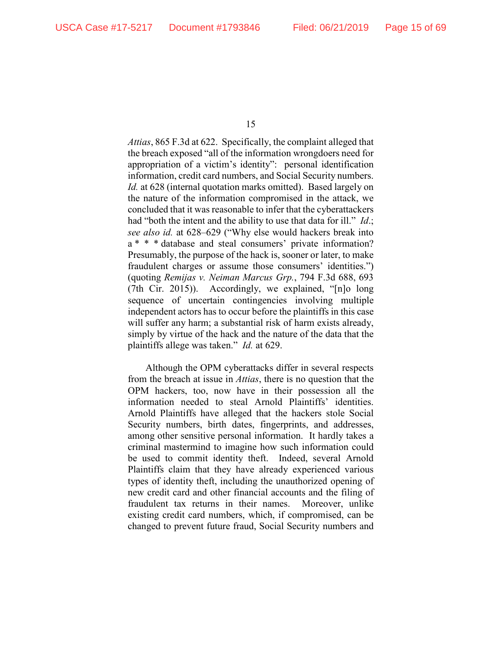*Attias*, 865 F.3d at 622. Specifically, the complaint alleged that the breach exposed "all of the information wrongdoers need for appropriation of a victim's identity": personal identification information, credit card numbers, and Social Security numbers. *Id.* at 628 (internal quotation marks omitted). Based largely on the nature of the information compromised in the attack, we concluded that it was reasonable to infer that the cyberattackers had "both the intent and the ability to use that data for ill." *Id*.; *see also id.* at 628–629 ("Why else would hackers break into a \* \* \* database and steal consumers' private information? Presumably, the purpose of the hack is, sooner or later, to make fraudulent charges or assume those consumers' identities.") (quoting *Remijas v. Neiman Marcus Grp.*, 794 F.3d 688, 693 (7th Cir. 2015)). Accordingly, we explained, "[n]o long sequence of uncertain contingencies involving multiple independent actors has to occur before the plaintiffs in this case will suffer any harm; a substantial risk of harm exists already, simply by virtue of the hack and the nature of the data that the plaintiffs allege was taken." *Id.* at 629.

Although the OPM cyberattacks differ in several respects from the breach at issue in *Attias*, there is no question that the OPM hackers, too, now have in their possession all the information needed to steal Arnold Plaintiffs' identities. Arnold Plaintiffs have alleged that the hackers stole Social Security numbers, birth dates, fingerprints, and addresses, among other sensitive personal information. It hardly takes a criminal mastermind to imagine how such information could be used to commit identity theft. Indeed, several Arnold Plaintiffs claim that they have already experienced various types of identity theft, including the unauthorized opening of new credit card and other financial accounts and the filing of fraudulent tax returns in their names. Moreover, unlike existing credit card numbers, which, if compromised, can be changed to prevent future fraud, Social Security numbers and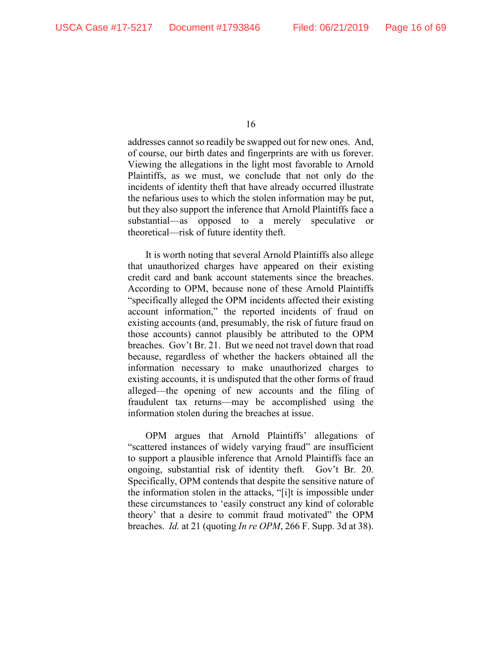addresses cannot so readily be swapped out for new ones. And, of course, our birth dates and fingerprints are with us forever. Viewing the allegations in the light most favorable to Arnold Plaintiffs, as we must, we conclude that not only do the incidents of identity theft that have already occurred illustrate the nefarious uses to which the stolen information may be put, but they also support the inference that Arnold Plaintiffs face a substantial—as opposed to a merely speculative or theoretical—risk of future identity theft.

It is worth noting that several Arnold Plaintiffs also allege that unauthorized charges have appeared on their existing credit card and bank account statements since the breaches. According to OPM, because none of these Arnold Plaintiffs "specifically alleged the OPM incidents affected their existing account information," the reported incidents of fraud on existing accounts (and, presumably, the risk of future fraud on those accounts) cannot plausibly be attributed to the OPM breaches. Gov't Br. 21. But we need not travel down that road because, regardless of whether the hackers obtained all the information necessary to make unauthorized charges to existing accounts, it is undisputed that the other forms of fraud alleged—the opening of new accounts and the filing of fraudulent tax returns—may be accomplished using the information stolen during the breaches at issue.

OPM argues that Arnold Plaintiffs' allegations of "scattered instances of widely varying fraud" are insufficient to support a plausible inference that Arnold Plaintiffs face an ongoing, substantial risk of identity theft. Gov't Br. 20. Specifically, OPM contends that despite the sensitive nature of the information stolen in the attacks, "[i]t is impossible under these circumstances to 'easily construct any kind of colorable theory' that a desire to commit fraud motivated" the OPM breaches. *Id.* at 21 (quoting *In re OPM*, 266 F. Supp. 3d at 38).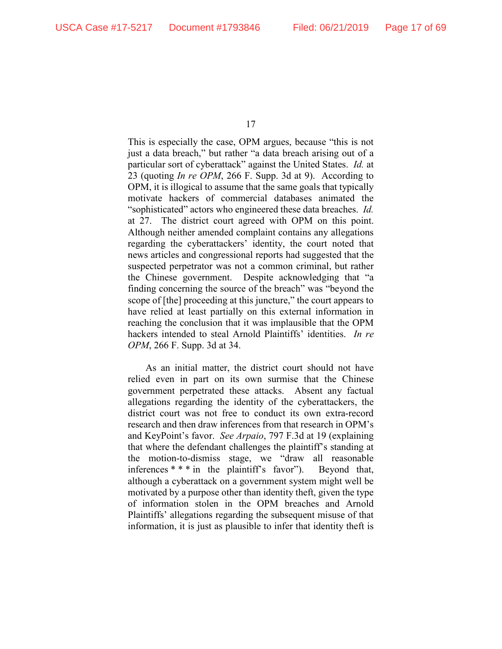This is especially the case, OPM argues, because "this is not just a data breach," but rather "a data breach arising out of a particular sort of cyberattack" against the United States. *Id.* at 23 (quoting *In re OPM*, 266 F. Supp. 3d at 9). According to OPM, it is illogical to assume that the same goals that typically motivate hackers of commercial databases animated the "sophisticated" actors who engineered these data breaches. *Id.* at 27. The district court agreed with OPM on this point. Although neither amended complaint contains any allegations regarding the cyberattackers' identity, the court noted that news articles and congressional reports had suggested that the suspected perpetrator was not a common criminal, but rather the Chinese government. Despite acknowledging that "a finding concerning the source of the breach" was "beyond the scope of [the] proceeding at this juncture," the court appears to have relied at least partially on this external information in reaching the conclusion that it was implausible that the OPM hackers intended to steal Arnold Plaintiffs' identities. *In re OPM*, 266 F. Supp. 3d at 34.

As an initial matter, the district court should not have relied even in part on its own surmise that the Chinese government perpetrated these attacks. Absent any factual allegations regarding the identity of the cyberattackers, the district court was not free to conduct its own extra-record research and then draw inferences from that research in OPM's and KeyPoint's favor. *See Arpaio*, 797 F.3d at 19 (explaining that where the defendant challenges the plaintiff's standing at the motion-to-dismiss stage, we "draw all reasonable inferences \* \* \* in the plaintiff's favor"). Beyond that, although a cyberattack on a government system might well be motivated by a purpose other than identity theft, given the type of information stolen in the OPM breaches and Arnold Plaintiffs' allegations regarding the subsequent misuse of that information, it is just as plausible to infer that identity theft is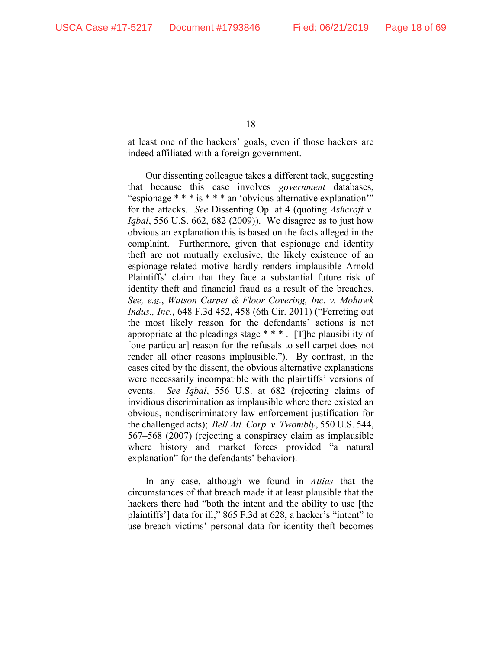at least one of the hackers' goals, even if those hackers are indeed affiliated with a foreign government.

Our dissenting colleague takes a different tack, suggesting that because this case involves *government* databases, "espionage \* \* \* is \* \* \* an 'obvious alternative explanation" for the attacks. *See* Dissenting Op. at 4 (quoting *Ashcroft v. Iqbal*, 556 U.S. 662, 682 (2009)). We disagree as to just how obvious an explanation this is based on the facts alleged in the complaint. Furthermore, given that espionage and identity theft are not mutually exclusive, the likely existence of an espionage-related motive hardly renders implausible Arnold Plaintiffs' claim that they face a substantial future risk of identity theft and financial fraud as a result of the breaches. *See, e.g.*, *Watson Carpet & Floor Covering, Inc. v. Mohawk Indus., Inc.*, 648 F.3d 452, 458 (6th Cir. 2011) ("Ferreting out the most likely reason for the defendants' actions is not appropriate at the pleadings stage \* \* \* . [T]he plausibility of [one particular] reason for the refusals to sell carpet does not render all other reasons implausible."). By contrast, in the cases cited by the dissent, the obvious alternative explanations were necessarily incompatible with the plaintiffs' versions of events. *See Iqbal*, 556 U.S. at 682 (rejecting claims of invidious discrimination as implausible where there existed an obvious, nondiscriminatory law enforcement justification for the challenged acts); *Bell Atl. Corp. v. Twombly*, 550 U.S. 544, 567–568 (2007) (rejecting a conspiracy claim as implausible where history and market forces provided "a natural explanation" for the defendants' behavior).

In any case, although we found in *Attias* that the circumstances of that breach made it at least plausible that the hackers there had "both the intent and the ability to use [the plaintiffs'] data for ill," 865 F.3d at 628, a hacker's "intent" to use breach victims' personal data for identity theft becomes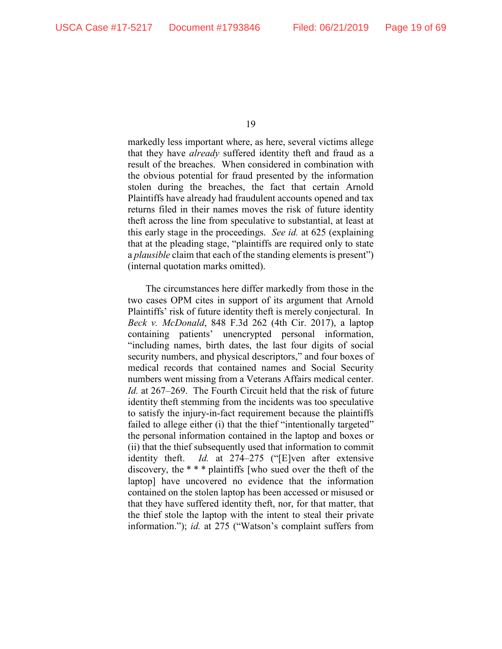markedly less important where, as here, several victims allege that they have *already* suffered identity theft and fraud as a result of the breaches. When considered in combination with the obvious potential for fraud presented by the information stolen during the breaches, the fact that certain Arnold Plaintiffs have already had fraudulent accounts opened and tax returns filed in their names moves the risk of future identity theft across the line from speculative to substantial, at least at this early stage in the proceedings. *See id.* at 625 (explaining that at the pleading stage, "plaintiffs are required only to state a *plausible* claim that each of the standing elements is present") (internal quotation marks omitted).

The circumstances here differ markedly from those in the two cases OPM cites in support of its argument that Arnold Plaintiffs' risk of future identity theft is merely conjectural. In *Beck v. McDonald*, 848 F.3d 262 (4th Cir. 2017), a laptop containing patients' unencrypted personal information, "including names, birth dates, the last four digits of social security numbers, and physical descriptors," and four boxes of medical records that contained names and Social Security numbers went missing from a Veterans Affairs medical center. *Id.* at 267–269. The Fourth Circuit held that the risk of future identity theft stemming from the incidents was too speculative to satisfy the injury-in-fact requirement because the plaintiffs failed to allege either (i) that the thief "intentionally targeted" the personal information contained in the laptop and boxes or (ii) that the thief subsequently used that information to commit identity theft. *Id.* at 274–275 ("[E]ven after extensive discovery, the \* \* \* plaintiffs [who sued over the theft of the laptop] have uncovered no evidence that the information contained on the stolen laptop has been accessed or misused or that they have suffered identity theft, nor, for that matter, that the thief stole the laptop with the intent to steal their private information."); *id.* at 275 ("Watson's complaint suffers from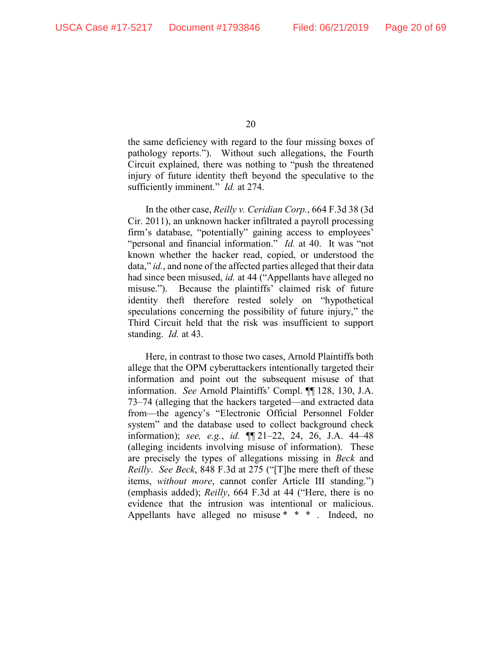the same deficiency with regard to the four missing boxes of pathology reports."). Without such allegations, the Fourth Circuit explained, there was nothing to "push the threatened injury of future identity theft beyond the speculative to the sufficiently imminent." *Id.* at 274.

In the other case, *Reilly v. Ceridian Corp.*, 664 F.3d 38 (3d Cir. 2011), an unknown hacker infiltrated a payroll processing firm's database, "potentially" gaining access to employees' "personal and financial information." *Id.* at 40. It was "not known whether the hacker read, copied, or understood the data," *id.*, and none of the affected parties alleged that their data had since been misused, *id.* at 44 ("Appellants have alleged no misuse."). Because the plaintiffs' claimed risk of future identity theft therefore rested solely on "hypothetical speculations concerning the possibility of future injury," the Third Circuit held that the risk was insufficient to support standing. *Id.* at 43.

Here, in contrast to those two cases, Arnold Plaintiffs both allege that the OPM cyberattackers intentionally targeted their information and point out the subsequent misuse of that information. *See* Arnold Plaintiffs' Compl. ¶¶ 128, 130, J.A. 73–74 (alleging that the hackers targeted—and extracted data from—the agency's "Electronic Official Personnel Folder system" and the database used to collect background check information); *see, e.g.*, *id.* ¶¶ 21–22, 24, 26, J.A. 44–48 (alleging incidents involving misuse of information). These are precisely the types of allegations missing in *Beck* and *Reilly*. *See Beck*, 848 F.3d at 275 ("[T]he mere theft of these items, *without more*, cannot confer Article III standing.") (emphasis added); *Reilly*, 664 F.3d at 44 ("Here, there is no evidence that the intrusion was intentional or malicious. Appellants have alleged no misuse \* \* \* . Indeed, no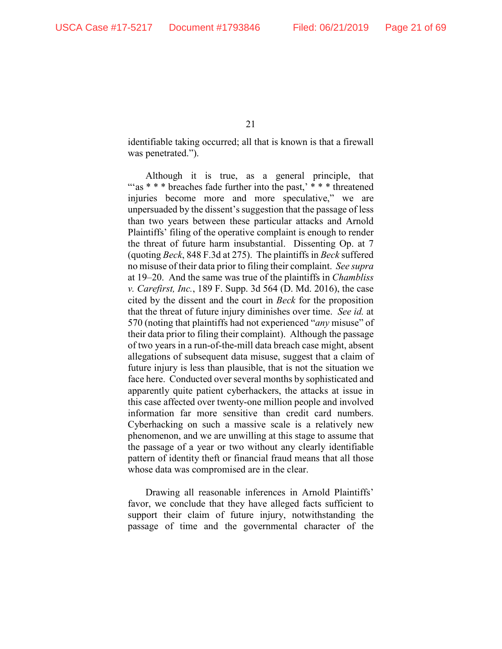identifiable taking occurred; all that is known is that a firewall was penetrated.").

Although it is true, as a general principle, that " $as$  \* \* \* breaches fade further into the past,' \* \* \* threatened injuries become more and more speculative," we are unpersuaded by the dissent's suggestion that the passage of less than two years between these particular attacks and Arnold Plaintiffs' filing of the operative complaint is enough to render the threat of future harm insubstantial. Dissenting Op. at 7 (quoting *Beck*, 848 F.3d at 275). The plaintiffs in *Beck* suffered no misuse of their data prior to filing their complaint. *See supra*  at 19–20. And the same was true of the plaintiffs in *Chambliss v. Carefirst, Inc.*, 189 F. Supp. 3d 564 (D. Md. 2016), the case cited by the dissent and the court in *Beck* for the proposition that the threat of future injury diminishes over time. *See id.* at 570 (noting that plaintiffs had not experienced "*any* misuse" of their data prior to filing their complaint). Although the passage of two years in a run-of-the-mill data breach case might, absent allegations of subsequent data misuse, suggest that a claim of future injury is less than plausible, that is not the situation we face here. Conducted over several months by sophisticated and apparently quite patient cyberhackers, the attacks at issue in this case affected over twenty-one million people and involved information far more sensitive than credit card numbers. Cyberhacking on such a massive scale is a relatively new phenomenon, and we are unwilling at this stage to assume that the passage of a year or two without any clearly identifiable pattern of identity theft or financial fraud means that all those whose data was compromised are in the clear.

Drawing all reasonable inferences in Arnold Plaintiffs' favor, we conclude that they have alleged facts sufficient to support their claim of future injury, notwithstanding the passage of time and the governmental character of the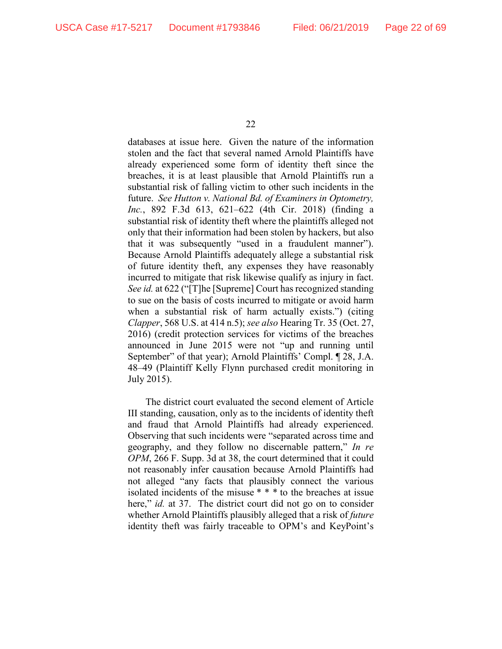databases at issue here. Given the nature of the information stolen and the fact that several named Arnold Plaintiffs have already experienced some form of identity theft since the breaches, it is at least plausible that Arnold Plaintiffs run a substantial risk of falling victim to other such incidents in the future. *See Hutton v. National Bd. of Examiners in Optometry, Inc.*, 892 F.3d 613, 621–622 (4th Cir. 2018) (finding a substantial risk of identity theft where the plaintiffs alleged not only that their information had been stolen by hackers, but also that it was subsequently "used in a fraudulent manner"). Because Arnold Plaintiffs adequately allege a substantial risk of future identity theft, any expenses they have reasonably incurred to mitigate that risk likewise qualify as injury in fact. *See id.* at 622 ("[T]he [Supreme] Court has recognized standing to sue on the basis of costs incurred to mitigate or avoid harm when a substantial risk of harm actually exists.") (citing *Clapper*, 568 U.S. at 414 n.5); *see also* Hearing Tr. 35 (Oct. 27, 2016) (credit protection services for victims of the breaches announced in June 2015 were not "up and running until September" of that year); Arnold Plaintiffs' Compl. ¶ 28, J.A. 48–49 (Plaintiff Kelly Flynn purchased credit monitoring in July 2015).

The district court evaluated the second element of Article III standing, causation, only as to the incidents of identity theft and fraud that Arnold Plaintiffs had already experienced. Observing that such incidents were "separated across time and geography, and they follow no discernable pattern," *In re OPM*, 266 F. Supp. 3d at 38, the court determined that it could not reasonably infer causation because Arnold Plaintiffs had not alleged "any facts that plausibly connect the various isolated incidents of the misuse \* \* \* to the breaches at issue here," *id.* at 37. The district court did not go on to consider whether Arnold Plaintiffs plausibly alleged that a risk of *future* identity theft was fairly traceable to OPM's and KeyPoint's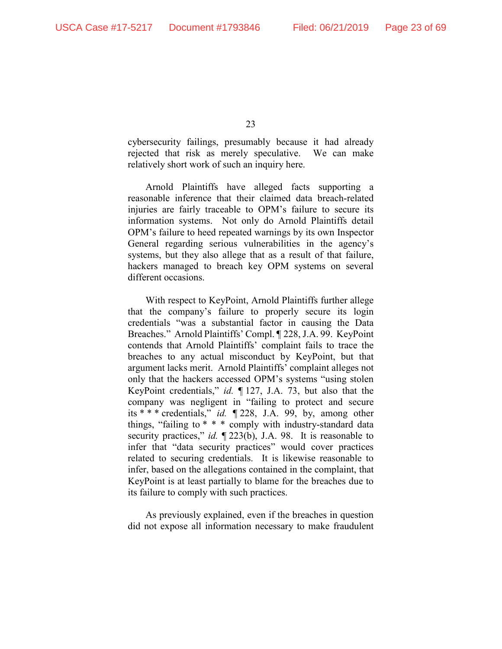cybersecurity failings, presumably because it had already rejected that risk as merely speculative. We can make relatively short work of such an inquiry here.

Arnold Plaintiffs have alleged facts supporting a reasonable inference that their claimed data breach-related injuries are fairly traceable to OPM's failure to secure its information systems. Not only do Arnold Plaintiffs detail OPM's failure to heed repeated warnings by its own Inspector General regarding serious vulnerabilities in the agency's systems, but they also allege that as a result of that failure, hackers managed to breach key OPM systems on several different occasions.

With respect to KeyPoint, Arnold Plaintiffs further allege that the company's failure to properly secure its login credentials "was a substantial factor in causing the Data Breaches." Arnold Plaintiffs' Compl. ¶ 228, J.A. 99. KeyPoint contends that Arnold Plaintiffs' complaint fails to trace the breaches to any actual misconduct by KeyPoint, but that argument lacks merit. Arnold Plaintiffs' complaint alleges not only that the hackers accessed OPM's systems "using stolen KeyPoint credentials," *id.* ¶ 127, J.A. 73, but also that the company was negligent in "failing to protect and secure its \* \* \* credentials," *id.* ¶ 228, J.A. 99, by, among other things, "failing to \* \* \* comply with industry-standard data security practices," *id.*  $\P$  223(b), J.A. 98. It is reasonable to infer that "data security practices" would cover practices related to securing credentials. It is likewise reasonable to infer, based on the allegations contained in the complaint, that KeyPoint is at least partially to blame for the breaches due to its failure to comply with such practices.

As previously explained, even if the breaches in question did not expose all information necessary to make fraudulent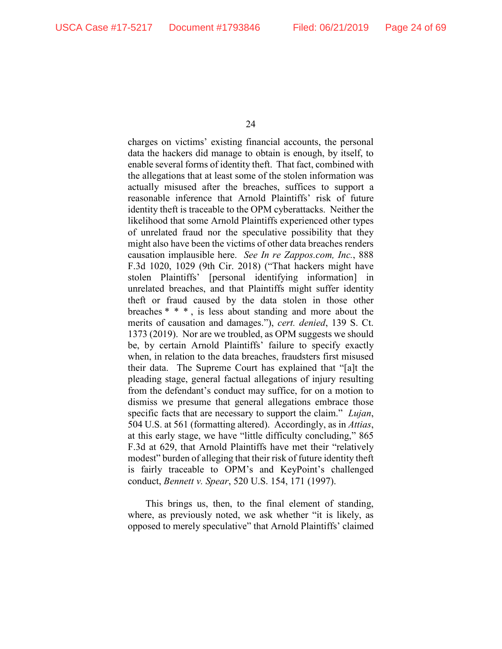charges on victims' existing financial accounts, the personal data the hackers did manage to obtain is enough, by itself, to enable several forms of identity theft. That fact, combined with the allegations that at least some of the stolen information was actually misused after the breaches, suffices to support a reasonable inference that Arnold Plaintiffs' risk of future identity theft is traceable to the OPM cyberattacks. Neither the likelihood that some Arnold Plaintiffs experienced other types of unrelated fraud nor the speculative possibility that they might also have been the victims of other data breaches renders causation implausible here. *See In re Zappos.com, Inc.*, 888 F.3d 1020, 1029 (9th Cir. 2018) ("That hackers might have stolen Plaintiffs' [personal identifying information] in unrelated breaches, and that Plaintiffs might suffer identity theft or fraud caused by the data stolen in those other breaches \* \* \* , is less about standing and more about the merits of causation and damages."), *cert. denied*, 139 S. Ct. 1373 (2019). Nor are we troubled, as OPM suggests we should be, by certain Arnold Plaintiffs' failure to specify exactly when, in relation to the data breaches, fraudsters first misused their data. The Supreme Court has explained that "[a]t the pleading stage, general factual allegations of injury resulting from the defendant's conduct may suffice, for on a motion to dismiss we presume that general allegations embrace those specific facts that are necessary to support the claim." *Lujan*, 504 U.S. at 561 (formatting altered). Accordingly, as in *Attias*, at this early stage, we have "little difficulty concluding," 865 F.3d at 629, that Arnold Plaintiffs have met their "relatively modest" burden of alleging that their risk of future identity theft is fairly traceable to OPM's and KeyPoint's challenged conduct, *Bennett v. Spear*, 520 U.S. 154, 171 (1997).

This brings us, then, to the final element of standing, where, as previously noted, we ask whether "it is likely, as opposed to merely speculative" that Arnold Plaintiffs' claimed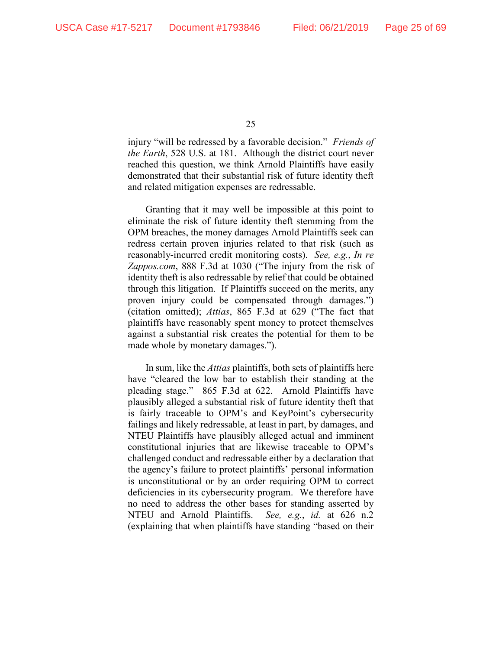injury "will be redressed by a favorable decision." *Friends of the Earth*, 528 U.S. at 181. Although the district court never reached this question, we think Arnold Plaintiffs have easily demonstrated that their substantial risk of future identity theft and related mitigation expenses are redressable.

Granting that it may well be impossible at this point to eliminate the risk of future identity theft stemming from the OPM breaches, the money damages Arnold Plaintiffs seek can redress certain proven injuries related to that risk (such as reasonably-incurred credit monitoring costs). *See, e.g.*, *In re Zappos.com*, 888 F.3d at 1030 ("The injury from the risk of identity theft is also redressable by relief that could be obtained through this litigation. If Plaintiffs succeed on the merits, any proven injury could be compensated through damages.") (citation omitted); *Attias*, 865 F.3d at 629 ("The fact that plaintiffs have reasonably spent money to protect themselves against a substantial risk creates the potential for them to be made whole by monetary damages.").

In sum, like the *Attias* plaintiffs, both sets of plaintiffs here have "cleared the low bar to establish their standing at the pleading stage." 865 F.3d at 622. Arnold Plaintiffs have plausibly alleged a substantial risk of future identity theft that is fairly traceable to OPM's and KeyPoint's cybersecurity failings and likely redressable, at least in part, by damages, and NTEU Plaintiffs have plausibly alleged actual and imminent constitutional injuries that are likewise traceable to OPM's challenged conduct and redressable either by a declaration that the agency's failure to protect plaintiffs' personal information is unconstitutional or by an order requiring OPM to correct deficiencies in its cybersecurity program. We therefore have no need to address the other bases for standing asserted by NTEU and Arnold Plaintiffs. *See, e.g.*, *id.* at 626 n.2 (explaining that when plaintiffs have standing "based on their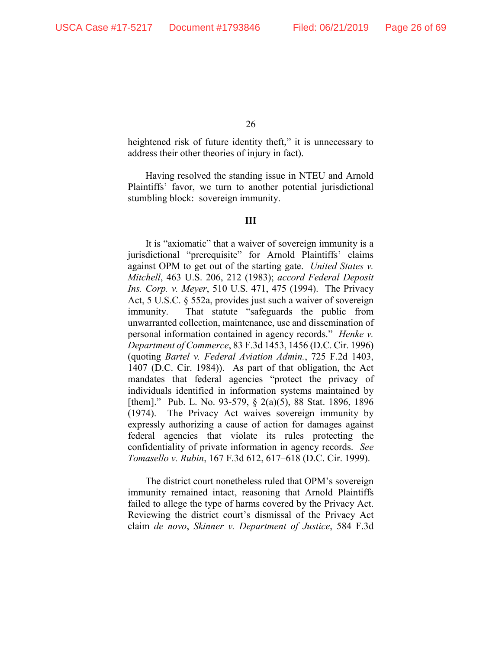heightened risk of future identity theft," it is unnecessary to address their other theories of injury in fact).

Having resolved the standing issue in NTEU and Arnold Plaintiffs' favor, we turn to another potential jurisdictional stumbling block: sovereign immunity.

## **III**

It is "axiomatic" that a waiver of sovereign immunity is a jurisdictional "prerequisite" for Arnold Plaintiffs' claims against OPM to get out of the starting gate. *United States v. Mitchell*, 463 U.S. 206, 212 (1983); *accord Federal Deposit Ins. Corp. v. Meyer*, 510 U.S. 471, 475 (1994). The Privacy Act, 5 U.S.C. § 552a, provides just such a waiver of sovereign immunity. That statute "safeguards the public from unwarranted collection, maintenance, use and dissemination of personal information contained in agency records." *Henke v. Department of Commerce*, 83 F.3d 1453, 1456 (D.C. Cir. 1996) (quoting *Bartel v. Federal Aviation Admin.*, 725 F.2d 1403, 1407 (D.C. Cir. 1984)). As part of that obligation, the Act mandates that federal agencies "protect the privacy of individuals identified in information systems maintained by [them]." Pub. L. No. 93-579, § 2(a)(5), 88 Stat. 1896, 1896 (1974). The Privacy Act waives sovereign immunity by expressly authorizing a cause of action for damages against federal agencies that violate its rules protecting the confidentiality of private information in agency records. *See Tomasello v. Rubin*, 167 F.3d 612, 617–618 (D.C. Cir. 1999).

The district court nonetheless ruled that OPM's sovereign immunity remained intact, reasoning that Arnold Plaintiffs failed to allege the type of harms covered by the Privacy Act. Reviewing the district court's dismissal of the Privacy Act claim *de novo*, *Skinner v. Department of Justice*, 584 F.3d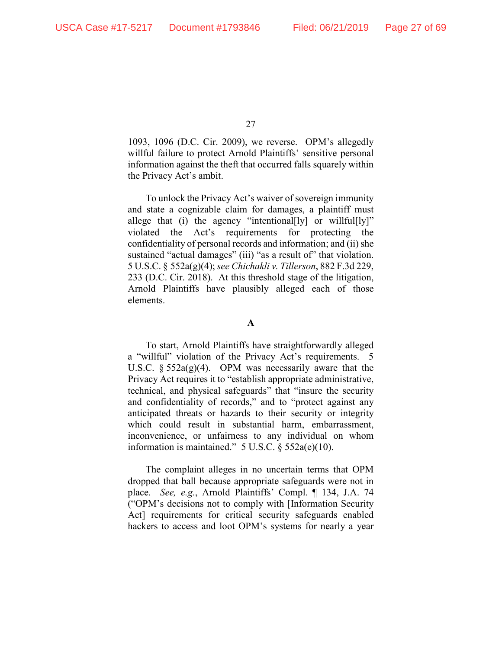1093, 1096 (D.C. Cir. 2009), we reverse. OPM's allegedly willful failure to protect Arnold Plaintiffs' sensitive personal information against the theft that occurred falls squarely within the Privacy Act's ambit.

To unlock the Privacy Act's waiver of sovereign immunity and state a cognizable claim for damages, a plaintiff must allege that (i) the agency "intentional [ly] or willful  $[y]$ " violated the Act's requirements for protecting the confidentiality of personal records and information; and (ii) she sustained "actual damages" (iii) "as a result of" that violation. 5 U.S.C. § 552a(g)(4); *see Chichakli v. Tillerson*, 882 F.3d 229, 233 (D.C. Cir. 2018). At this threshold stage of the litigation, Arnold Plaintiffs have plausibly alleged each of those elements.

## **A**

To start, Arnold Plaintiffs have straightforwardly alleged a "willful" violation of the Privacy Act's requirements. 5 U.S.C.  $\S 552a(g)(4)$ . OPM was necessarily aware that the Privacy Act requires it to "establish appropriate administrative, technical, and physical safeguards" that "insure the security and confidentiality of records," and to "protect against any anticipated threats or hazards to their security or integrity which could result in substantial harm, embarrassment, inconvenience, or unfairness to any individual on whom information is maintained."  $5 \text{ U.S.C.} \$  $552 \text{a}(\text{e})(10)$ .

The complaint alleges in no uncertain terms that OPM dropped that ball because appropriate safeguards were not in place. *See, e.g.*, Arnold Plaintiffs' Compl. ¶ 134, J.A. 74 ("OPM's decisions not to comply with [Information Security Act] requirements for critical security safeguards enabled hackers to access and loot OPM's systems for nearly a year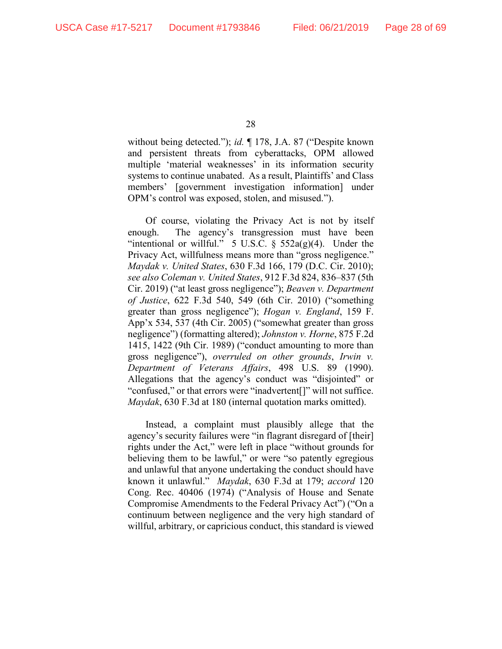without being detected."); *id.* ¶ 178, J.A. 87 ("Despite known and persistent threats from cyberattacks, OPM allowed multiple 'material weaknesses' in its information security systems to continue unabated. As a result, Plaintiffs' and Class members' [government investigation information] under OPM's control was exposed, stolen, and misused.").

Of course, violating the Privacy Act is not by itself enough. The agency's transgression must have been "intentional or willful." 5 U.S.C.  $\S$  552a(g)(4). Under the Privacy Act, willfulness means more than "gross negligence." *Maydak v. United States*, 630 F.3d 166, 179 (D.C. Cir. 2010); *see also Coleman v. United States*, 912 F.3d 824, 836–837 (5th Cir. 2019) ("at least gross negligence"); *Beaven v. Department of Justice*, 622 F.3d 540, 549 (6th Cir. 2010) ("something greater than gross negligence"); *Hogan v. England*, 159 F. App'x 534, 537 (4th Cir. 2005) ("somewhat greater than gross negligence") (formatting altered); *Johnston v. Horne*, 875 F.2d 1415, 1422 (9th Cir. 1989) ("conduct amounting to more than gross negligence"), *overruled on other grounds*, *Irwin v. Department of Veterans Affairs*, 498 U.S. 89 (1990). Allegations that the agency's conduct was "disjointed" or "confused," or that errors were "inadvertent[]" will not suffice. *Maydak*, 630 F.3d at 180 (internal quotation marks omitted).

Instead, a complaint must plausibly allege that the agency's security failures were "in flagrant disregard of [their] rights under the Act," were left in place "without grounds for believing them to be lawful," or were "so patently egregious and unlawful that anyone undertaking the conduct should have known it unlawful." *Maydak*, 630 F.3d at 179; *accord* 120 Cong. Rec. 40406 (1974) ("Analysis of House and Senate Compromise Amendments to the Federal Privacy Act") ("On a continuum between negligence and the very high standard of willful, arbitrary, or capricious conduct, this standard is viewed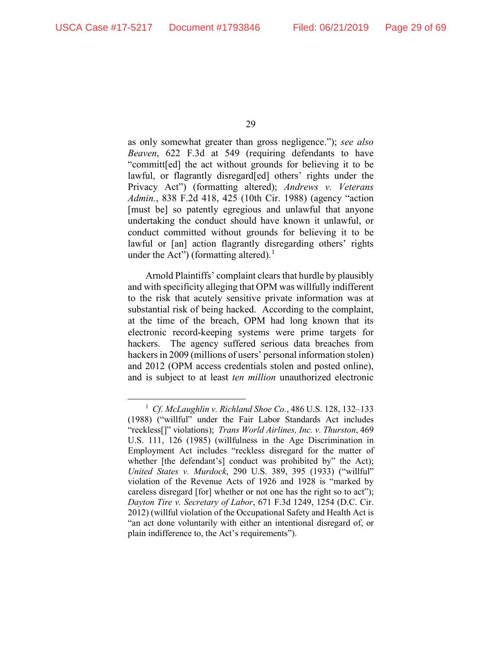as only somewhat greater than gross negligence."); *see also Beaven*, 622 F.3d at 549 (requiring defendants to have "committ[ed] the act without grounds for believing it to be lawful, or flagrantly disregard[ed] others' rights under the Privacy Act") (formatting altered); *Andrews v. Veterans Admin.*, 838 F.2d 418, 425 (10th Cir. 1988) (agency "action [must be] so patently egregious and unlawful that anyone undertaking the conduct should have known it unlawful, or conduct committed without grounds for believing it to be lawful or [an] action flagrantly disregarding others' rights under the Act") (formatting altered).<sup>[1](#page-28-0)</sup>

Arnold Plaintiffs' complaint clears that hurdle by plausibly and with specificity alleging that OPM was willfully indifferent to the risk that acutely sensitive private information was at substantial risk of being hacked. According to the complaint, at the time of the breach, OPM had long known that its electronic record-keeping systems were prime targets for hackers. The agency suffered serious data breaches from hackers in 2009 (millions of users' personal information stolen) and 2012 (OPM access credentials stolen and posted online), and is subject to at least *ten million* unauthorized electronic

<span id="page-28-0"></span> <sup>1</sup> *Cf. McLaughlin v. Richland Shoe Co.*, 486 U.S. 128, 132–133 (1988) ("willful" under the Fair Labor Standards Act includes "reckless[]" violations); *Trans World Airlines, Inc. v. Thurston*, 469 U.S. 111, 126 (1985) (willfulness in the Age Discrimination in Employment Act includes "reckless disregard for the matter of whether [the defendant's] conduct was prohibited by" the Act); *United States v. Murdock*, 290 U.S. 389, 395 (1933) ("willful" violation of the Revenue Acts of 1926 and 1928 is "marked by careless disregard [for] whether or not one has the right so to act"); *Dayton Tire v. Secretary of Labor*, 671 F.3d 1249, 1254 (D.C. Cir. 2012) (willful violation of the Occupational Safety and Health Act is "an act done voluntarily with either an intentional disregard of, or plain indifference to, the Act's requirements").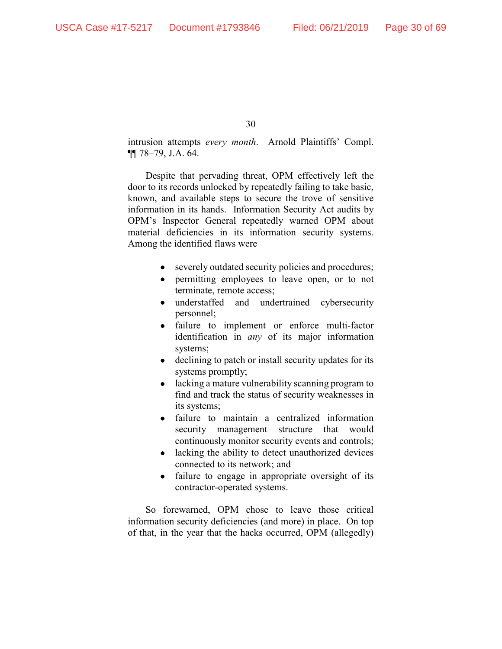intrusion attempts *every month*. Arnold Plaintiffs' Compl. ¶¶ 78–79, J.A. 64.

Despite that pervading threat, OPM effectively left the door to its records unlocked by repeatedly failing to take basic, known, and available steps to secure the trove of sensitive information in its hands. Information Security Act audits by OPM's Inspector General repeatedly warned OPM about material deficiencies in its information security systems. Among the identified flaws were

- severely outdated security policies and procedures;
- permitting employees to leave open, or to not terminate, remote access;
- understaffed and undertrained cybersecurity personnel;
- failure to implement or enforce multi-factor identification in *any* of its major information systems;
- declining to patch or install security updates for its systems promptly;
- lacking a mature vulnerability scanning program to find and track the status of security weaknesses in its systems;
- failure to maintain a centralized information security management structure that would continuously monitor security events and controls;
- lacking the ability to detect unauthorized devices connected to its network; and
- failure to engage in appropriate oversight of its contractor-operated systems.

So forewarned, OPM chose to leave those critical information security deficiencies (and more) in place. On top of that, in the year that the hacks occurred, OPM (allegedly)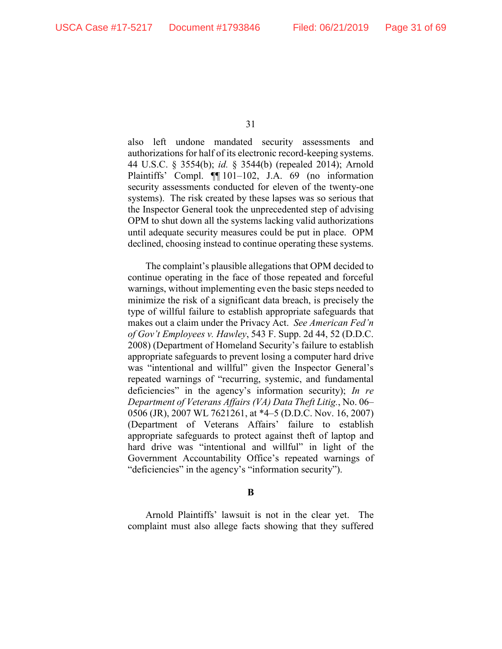also left undone mandated security assessments and authorizations for half of its electronic record-keeping systems. 44 U.S.C. § 3554(b); *id.* § 3544(b) (repealed 2014); Arnold Plaintiffs' Compl. ¶¶ 101–102, J.A. 69 (no information security assessments conducted for eleven of the twenty-one systems). The risk created by these lapses was so serious that the Inspector General took the unprecedented step of advising OPM to shut down all the systems lacking valid authorizations until adequate security measures could be put in place. OPM declined, choosing instead to continue operating these systems.

The complaint's plausible allegations that OPM decided to continue operating in the face of those repeated and forceful warnings, without implementing even the basic steps needed to minimize the risk of a significant data breach, is precisely the type of willful failure to establish appropriate safeguards that makes out a claim under the Privacy Act. *See American Fed'n of Gov't Employees v. Hawley*, 543 F. Supp. 2d 44, 52 (D.D.C. 2008) (Department of Homeland Security's failure to establish appropriate safeguards to prevent losing a computer hard drive was "intentional and willful" given the Inspector General's repeated warnings of "recurring, systemic, and fundamental deficiencies" in the agency's information security); *In re Department of Veterans Affairs (VA) Data Theft Litig.*, No. 06– 0506 (JR), 2007 WL 7621261, at \*4–5 (D.D.C. Nov. 16, 2007) (Department of Veterans Affairs' failure to establish appropriate safeguards to protect against theft of laptop and hard drive was "intentional and willful" in light of the Government Accountability Office's repeated warnings of "deficiencies" in the agency's "information security").

**B**

Arnold Plaintiffs' lawsuit is not in the clear yet. The complaint must also allege facts showing that they suffered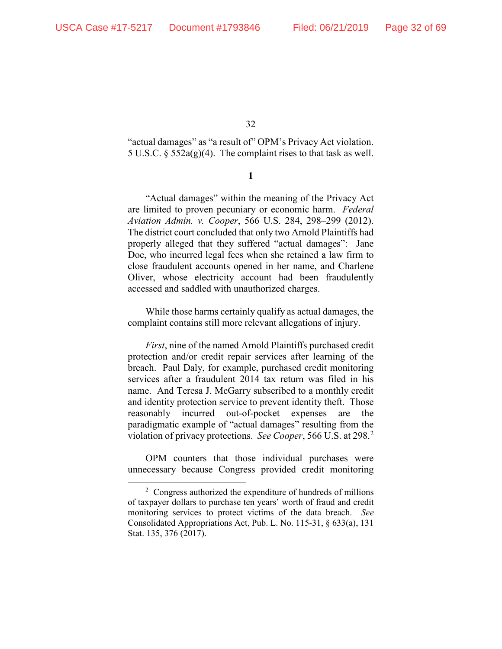"actual damages" as "a result of" OPM's Privacy Act violation. 5 U.S.C.  $\S$  552a(g)(4). The complaint rises to that task as well.

**1**

"Actual damages" within the meaning of the Privacy Act are limited to proven pecuniary or economic harm. *Federal Aviation Admin. v. Cooper*, 566 U.S. 284, 298–299 (2012). The district court concluded that only two Arnold Plaintiffs had properly alleged that they suffered "actual damages": Jane Doe, who incurred legal fees when she retained a law firm to close fraudulent accounts opened in her name, and Charlene Oliver, whose electricity account had been fraudulently accessed and saddled with unauthorized charges.

While those harms certainly qualify as actual damages, the complaint contains still more relevant allegations of injury.

*First*, nine of the named Arnold Plaintiffs purchased credit protection and/or credit repair services after learning of the breach.Paul Daly, for example, purchased credit monitoring services after a fraudulent 2014 tax return was filed in his name. And Teresa J. McGarry subscribed to a monthly credit and identity protection service to prevent identity theft. Those reasonably incurred out-of-pocket expenses are the paradigmatic example of "actual damages" resulting from the violation of privacy protections. *See Cooper*, 566 U.S. at 298.[2](#page-31-0)

OPM counters that those individual purchases were unnecessary because Congress provided credit monitoring

<span id="page-31-0"></span> $\frac{1}{2}$ <sup>2</sup> Congress authorized the expenditure of hundreds of millions of taxpayer dollars to purchase ten years' worth of fraud and credit monitoring services to protect victims of the data breach. *See* Consolidated Appropriations Act, Pub. L. No. 115-31, § 633(a), 131 Stat. 135, 376 (2017).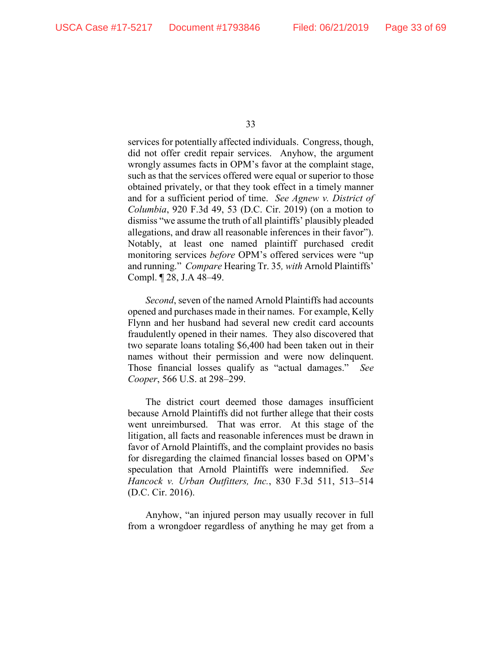services for potentially affected individuals. Congress, though, did not offer credit repair services. Anyhow, the argument wrongly assumes facts in OPM's favor at the complaint stage, such as that the services offered were equal or superior to those obtained privately, or that they took effect in a timely manner and for a sufficient period of time. *See Agnew v. District of Columbia*, 920 F.3d 49, 53 (D.C. Cir. 2019) (on a motion to dismiss "we assume the truth of all plaintiffs' plausibly pleaded allegations, and draw all reasonable inferences in their favor"). Notably, at least one named plaintiff purchased credit monitoring services *before* OPM's offered services were "up and running." *Compare* Hearing Tr. 35*, with* Arnold Plaintiffs' Compl. ¶ 28, J.A 48–49.

*Second*, seven of the named Arnold Plaintiffs had accounts opened and purchases made in their names. For example, Kelly Flynn and her husband had several new credit card accounts fraudulently opened in their names. They also discovered that two separate loans totaling \$6,400 had been taken out in their names without their permission and were now delinquent. Those financial losses qualify as "actual damages." *See Cooper*, 566 U.S. at 298–299.

The district court deemed those damages insufficient because Arnold Plaintiffs did not further allege that their costs went unreimbursed. That was error. At this stage of the litigation, all facts and reasonable inferences must be drawn in favor of Arnold Plaintiffs, and the complaint provides no basis for disregarding the claimed financial losses based on OPM's speculation that Arnold Plaintiffs were indemnified. *See Hancock v. Urban Outfitters, Inc.*, 830 F.3d 511, 513–514 (D.C. Cir. 2016).

Anyhow, "an injured person may usually recover in full from a wrongdoer regardless of anything he may get from a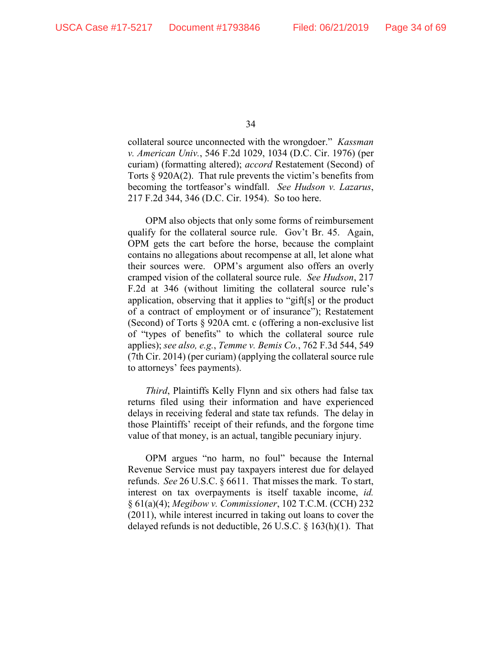collateral source unconnected with the wrongdoer." *Kassman v. American Univ.*, 546 F.2d 1029, 1034 (D.C. Cir. 1976) (per curiam) (formatting altered); *accord* Restatement (Second) of Torts § 920A(2). That rule prevents the victim's benefits from becoming the tortfeasor's windfall. *See Hudson v. Lazarus*, 217 F.2d 344, 346 (D.C. Cir. 1954). So too here.

OPM also objects that only some forms of reimbursement qualify for the collateral source rule. Gov't Br. 45. Again, OPM gets the cart before the horse, because the complaint contains no allegations about recompense at all, let alone what their sources were. OPM's argument also offers an overly cramped vision of the collateral source rule. *See Hudson*, 217 F.2d at 346 (without limiting the collateral source rule's application, observing that it applies to "gift[s] or the product of a contract of employment or of insurance"); Restatement (Second) of Torts § 920A cmt. c (offering a non-exclusive list of "types of benefits" to which the collateral source rule applies); *see also, e.g.*, *Temme v. Bemis Co.*, 762 F.3d 544, 549 (7th Cir. 2014) (per curiam) (applying the collateral source rule to attorneys' fees payments).

*Third*, Plaintiffs Kelly Flynn and six others had false tax returns filed using their information and have experienced delays in receiving federal and state tax refunds. The delay in those Plaintiffs' receipt of their refunds, and the forgone time value of that money, is an actual, tangible pecuniary injury.

OPM argues "no harm, no foul" because the Internal Revenue Service must pay taxpayers interest due for delayed refunds. *See* 26 U.S.C. § 6611. That misses the mark. To start, interest on tax overpayments is itself taxable income, *id.* § 61(a)(4); *Megibow v. Commissioner*, 102 T.C.M. (CCH) 232 (2011), while interest incurred in taking out loans to cover the delayed refunds is not deductible, 26 U.S.C. § 163(h)(1). That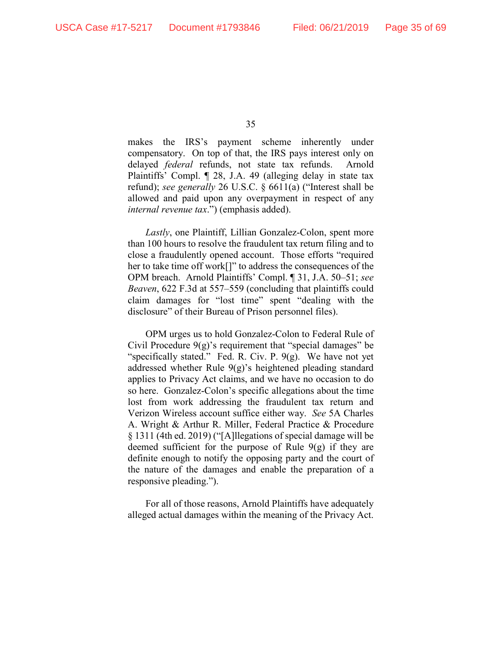makes the IRS's payment scheme inherently under compensatory. On top of that, the IRS pays interest only on delayed *federal* refunds, not state tax refunds. Arnold Plaintiffs' Compl. ¶ 28, J.A. 49 (alleging delay in state tax refund); *see generally* 26 U.S.C. § 6611(a) ("Interest shall be allowed and paid upon any overpayment in respect of any *internal revenue tax*.") (emphasis added).

*Lastly*, one Plaintiff, Lillian Gonzalez-Colon, spent more than 100 hours to resolve the fraudulent tax return filing and to close a fraudulently opened account. Those efforts "required her to take time off work<sup>[]"</sup> to address the consequences of the OPM breach. Arnold Plaintiffs' Compl. ¶ 31, J.A. 50–51; *see Beaven*, 622 F.3d at 557–559 (concluding that plaintiffs could claim damages for "lost time" spent "dealing with the disclosure" of their Bureau of Prison personnel files).

OPM urges us to hold Gonzalez-Colon to Federal Rule of Civil Procedure  $9(g)$ 's requirement that "special damages" be "specifically stated." Fed. R. Civ. P.  $9(g)$ . We have not yet addressed whether Rule 9(g)'s heightened pleading standard applies to Privacy Act claims, and we have no occasion to do so here. Gonzalez-Colon's specific allegations about the time lost from work addressing the fraudulent tax return and Verizon Wireless account suffice either way. *See* 5A Charles A. Wright & Arthur R. Miller, Federal Practice & Procedure § 1311 (4th ed. 2019) ("[A]llegations of special damage will be deemed sufficient for the purpose of Rule  $9(g)$  if they are definite enough to notify the opposing party and the court of the nature of the damages and enable the preparation of a responsive pleading.").

For all of those reasons, Arnold Plaintiffs have adequately alleged actual damages within the meaning of the Privacy Act.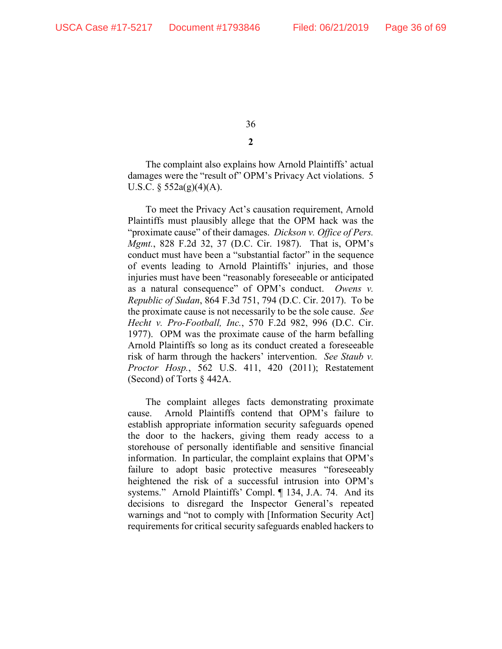The complaint also explains how Arnold Plaintiffs' actual damages were the "result of" OPM's Privacy Act violations. 5 U.S.C.  $\S$  552a(g)(4)(A).

To meet the Privacy Act's causation requirement, Arnold Plaintiffs must plausibly allege that the OPM hack was the "proximate cause" of their damages. *Dickson v. Office of Pers. Mgmt.*, 828 F.2d 32, 37 (D.C. Cir. 1987). That is, OPM's conduct must have been a "substantial factor" in the sequence of events leading to Arnold Plaintiffs' injuries, and those injuries must have been "reasonably foreseeable or anticipated as a natural consequence" of OPM's conduct. *Owens v. Republic of Sudan*, 864 F.3d 751, 794 (D.C. Cir. 2017). To be the proximate cause is not necessarily to be the sole cause. *See Hecht v. Pro-Football, Inc.*, 570 F.2d 982, 996 (D.C. Cir. 1977). OPM was the proximate cause of the harm befalling Arnold Plaintiffs so long as its conduct created a foreseeable risk of harm through the hackers' intervention. *See Staub v. Proctor Hosp.*, 562 U.S. 411, 420 (2011); Restatement (Second) of Torts § 442A.

The complaint alleges facts demonstrating proximate cause. Arnold Plaintiffs contend that OPM's failure to establish appropriate information security safeguards opened the door to the hackers, giving them ready access to a storehouse of personally identifiable and sensitive financial information. In particular, the complaint explains that OPM's failure to adopt basic protective measures "foreseeably heightened the risk of a successful intrusion into OPM's systems." Arnold Plaintiffs' Compl. ¶ 134, J.A. 74. And its decisions to disregard the Inspector General's repeated warnings and "not to comply with [Information Security Act] requirements for critical security safeguards enabled hackers to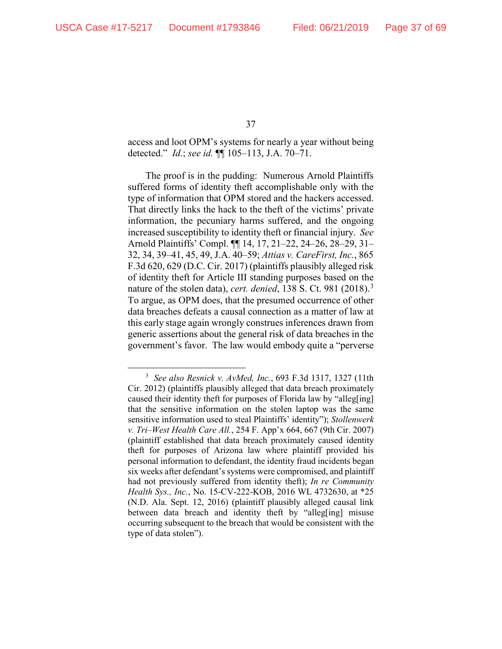access and loot OPM's systems for nearly a year without being detected." *Id.*; *see id.* ¶¶ 105–113, J.A. 70–71.

The proof is in the pudding: Numerous Arnold Plaintiffs suffered forms of identity theft accomplishable only with the type of information that OPM stored and the hackers accessed. That directly links the hack to the theft of the victims' private information, the pecuniary harms suffered, and the ongoing increased susceptibility to identity theft or financial injury. *See* Arnold Plaintiffs' Compl. ¶¶ 14, 17, 21–22, 24–26, 28–29, 31– 32, 34, 39–41, 45, 49, J.A. 40–59; *Attias v. CareFirst, Inc.*, 865 F.3d 620, 629 (D.C. Cir. 2017) (plaintiffs plausibly alleged risk of identity theft for Article III standing purposes based on the nature of the stolen data), *cert. denied*, 138 S. Ct. 981 (2018). [3](#page-36-0) To argue, as OPM does, that the presumed occurrence of other data breaches defeats a causal connection as a matter of law at this early stage again wrongly construes inferences drawn from generic assertions about the general risk of data breaches in the government's favor. The law would embody quite a "perverse

<span id="page-36-0"></span> $\frac{1}{3}$  *See also Resnick v. AvMed, Inc.*, 693 F.3d 1317, 1327 (11th Cir. 2012) (plaintiffs plausibly alleged that data breach proximately caused their identity theft for purposes of Florida law by "alleg[ing] that the sensitive information on the stolen laptop was the same sensitive information used to steal Plaintiffs' identity"); *Stollenwerk v. Tri–West Health Care All.*, 254 F. App'x 664, 667 (9th Cir. 2007) (plaintiff established that data breach proximately caused identity theft for purposes of Arizona law where plaintiff provided his personal information to defendant, the identity fraud incidents began six weeks after defendant's systems were compromised, and plaintiff had not previously suffered from identity theft); *In re Community Health Sys., Inc.*, No. 15-CV-222-KOB, 2016 WL 4732630, at \*25 (N.D. Ala. Sept. 12, 2016) (plaintiff plausibly alleged causal link between data breach and identity theft by "alleg[ing] misuse occurring subsequent to the breach that would be consistent with the type of data stolen").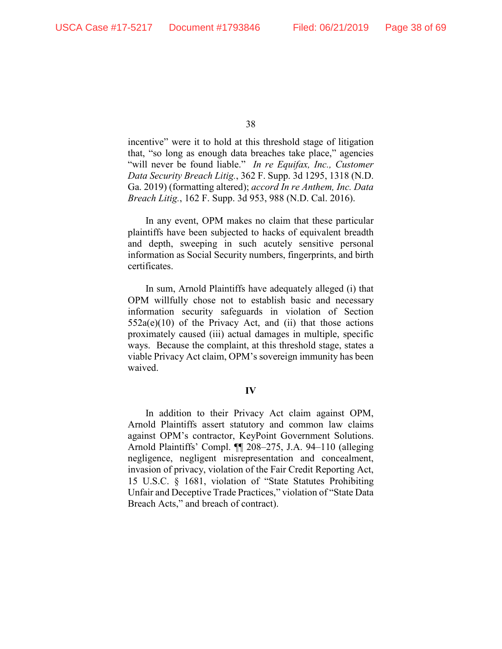incentive" were it to hold at this threshold stage of litigation that, "so long as enough data breaches take place," agencies "will never be found liable." *In re Equifax, Inc., Customer Data Security Breach Litig.*, 362 F. Supp. 3d 1295, 1318 (N.D. Ga. 2019) (formatting altered); *accord In re Anthem, Inc. Data Breach Litig.*, 162 F. Supp. 3d 953, 988 (N.D. Cal. 2016).

In any event, OPM makes no claim that these particular plaintiffs have been subjected to hacks of equivalent breadth and depth, sweeping in such acutely sensitive personal information as Social Security numbers, fingerprints, and birth certificates.

In sum, Arnold Plaintiffs have adequately alleged (i) that OPM willfully chose not to establish basic and necessary information security safeguards in violation of Section  $552a(e)(10)$  of the Privacy Act, and (ii) that those actions proximately caused (iii) actual damages in multiple, specific ways. Because the complaint, at this threshold stage, states a viable Privacy Act claim, OPM's sovereign immunity has been waived.

## **IV**

In addition to their Privacy Act claim against OPM, Arnold Plaintiffs assert statutory and common law claims against OPM's contractor, KeyPoint Government Solutions. Arnold Plaintiffs' Compl. ¶¶ 208–275, J.A. 94–110 (alleging negligence, negligent misrepresentation and concealment, invasion of privacy, violation of the Fair Credit Reporting Act, 15 U.S.C. § 1681, violation of "State Statutes Prohibiting Unfair and Deceptive Trade Practices," violation of "State Data Breach Acts," and breach of contract).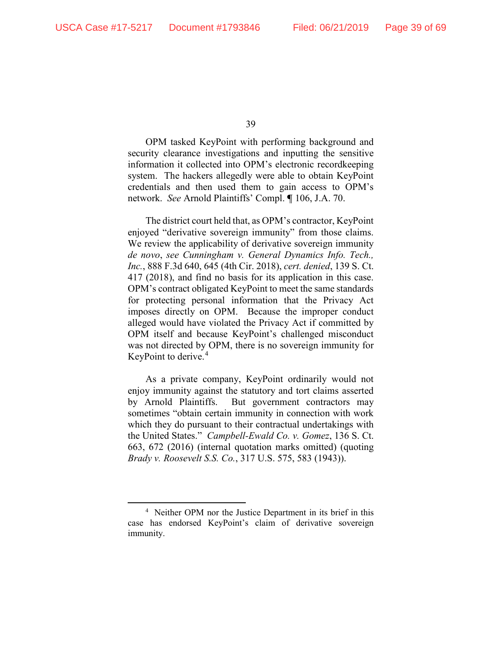OPM tasked KeyPoint with performing background and security clearance investigations and inputting the sensitive information it collected into OPM's electronic recordkeeping system. The hackers allegedly were able to obtain KeyPoint credentials and then used them to gain access to OPM's network. *See* Arnold Plaintiffs' Compl. **¶** 106, J.A. 70.

The district court held that, as OPM's contractor, KeyPoint enjoyed "derivative sovereign immunity" from those claims. We review the applicability of derivative sovereign immunity *de novo*, *see Cunningham v. General Dynamics Info. Tech., Inc.*, 888 F.3d 640, 645 (4th Cir. 2018), *cert. denied*, 139 S. Ct. 417 (2018), and find no basis for its application in this case. OPM's contract obligated KeyPoint to meet the same standards for protecting personal information that the Privacy Act imposes directly on OPM. Because the improper conduct alleged would have violated the Privacy Act if committed by OPM itself and because KeyPoint's challenged misconduct was not directed by OPM, there is no sovereign immunity for KeyPoint to derive.<sup>[4](#page-38-0)</sup>

As a private company, KeyPoint ordinarily would not enjoy immunity against the statutory and tort claims asserted by Arnold Plaintiffs. But government contractors may sometimes "obtain certain immunity in connection with work which they do pursuant to their contractual undertakings with the United States." *Campbell-Ewald Co. v. Gomez*, 136 S. Ct. 663, 672 (2016) (internal quotation marks omitted) (quoting *Brady v. Roosevelt S.S. Co.*, 317 U.S. 575, 583 (1943)).

<span id="page-38-0"></span> <sup>4</sup> <sup>4</sup> Neither OPM nor the Justice Department in its brief in this case has endorsed KeyPoint's claim of derivative sovereign immunity.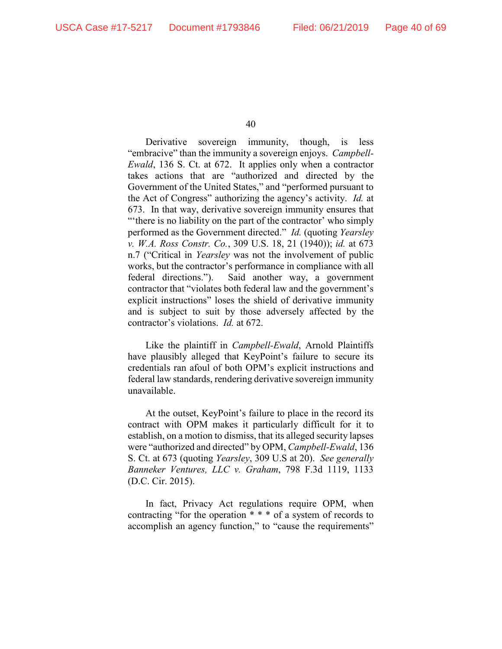Derivative sovereign immunity, though, is less "embracive" than the immunity a sovereign enjoys. *Campbell-Ewald*, 136 S. Ct. at 672. It applies only when a contractor takes actions that are "authorized and directed by the Government of the United States," and "performed pursuant to the Act of Congress" authorizing the agency's activity. *Id.* at 673. In that way, derivative sovereign immunity ensures that "'there is no liability on the part of the contractor' who simply performed as the Government directed." *Id.* (quoting *Yearsley v. W.A. Ross Constr. Co.*, 309 U.S. 18, 21 (1940)); *id.* at 673 n.7 ("Critical in *Yearsley* was not the involvement of public works, but the contractor's performance in compliance with all federal directions."). Said another way, a government contractor that "violates both federal law and the government's explicit instructions" loses the shield of derivative immunity and is subject to suit by those adversely affected by the contractor's violations. *Id.* at 672.

Like the plaintiff in *Campbell-Ewald*, Arnold Plaintiffs have plausibly alleged that KeyPoint's failure to secure its credentials ran afoul of both OPM's explicit instructions and federal law standards, rendering derivative sovereign immunity unavailable.

At the outset, KeyPoint's failure to place in the record its contract with OPM makes it particularly difficult for it to establish, on a motion to dismiss, that its alleged security lapses were "authorized and directed" by OPM, *Campbell-Ewald*, 136 S. Ct. at 673 (quoting *Yearsley*, 309 U.S at 20). *See generally Banneker Ventures, LLC v. Graham*, 798 F.3d 1119, 1133 (D.C. Cir. 2015).

In fact, Privacy Act regulations require OPM, when contracting "for the operation \* \* \* of a system of records to accomplish an agency function," to "cause the requirements"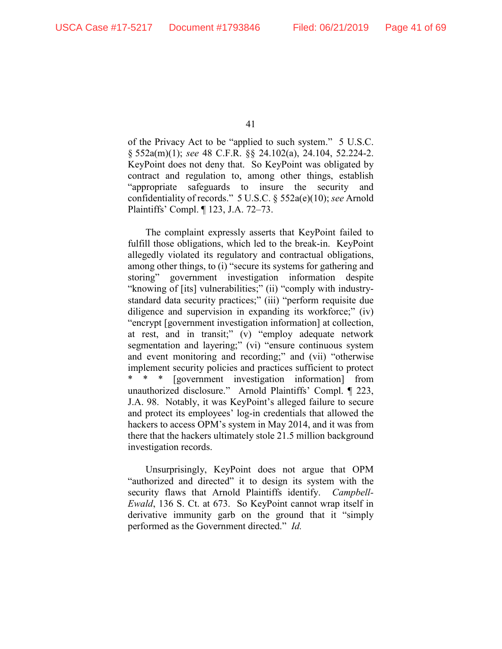of the Privacy Act to be "applied to such system." 5 U.S.C. § 552a(m)(1); *see* 48 C.F.R. §§ 24.102(a), 24.104, 52.224-2. KeyPoint does not deny that. So KeyPoint was obligated by contract and regulation to, among other things, establish "appropriate safeguards to insure the security and confidentiality of records." 5 U.S.C. § 552a(e)(10); *see* Arnold Plaintiffs' Compl. ¶ 123, J.A. 72–73.

The complaint expressly asserts that KeyPoint failed to fulfill those obligations, which led to the break-in. KeyPoint allegedly violated its regulatory and contractual obligations, among other things, to (i) "secure its systems for gathering and storing" government investigation information despite "knowing of [its] vulnerabilities;" (ii) "comply with industrystandard data security practices;" (iii) "perform requisite due diligence and supervision in expanding its workforce;" (iv) "encrypt [government investigation information] at collection, at rest, and in transit;" (v) "employ adequate network segmentation and layering;" (vi) "ensure continuous system and event monitoring and recording;" and (vii) "otherwise implement security policies and practices sufficient to protect [government investigation information] from unauthorized disclosure." Arnold Plaintiffs' Compl. ¶ 223, J.A. 98. Notably, it was KeyPoint's alleged failure to secure and protect its employees' log-in credentials that allowed the hackers to access OPM's system in May 2014, and it was from there that the hackers ultimately stole 21.5 million background investigation records.

Unsurprisingly, KeyPoint does not argue that OPM "authorized and directed" it to design its system with the security flaws that Arnold Plaintiffs identify. *Campbell-Ewald*, 136 S. Ct. at 673. So KeyPoint cannot wrap itself in derivative immunity garb on the ground that it "simply performed as the Government directed." *Id.*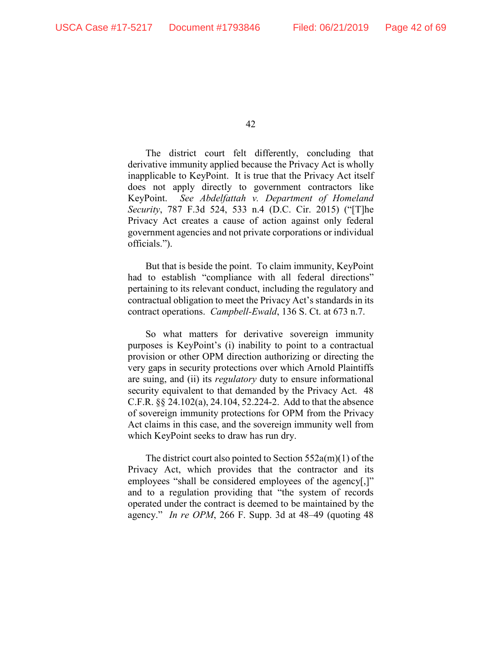The district court felt differently, concluding that derivative immunity applied because the Privacy Act is wholly inapplicable to KeyPoint. It is true that the Privacy Act itself does not apply directly to government contractors like KeyPoint. *See Abdelfattah v. Department of Homeland Security*, 787 F.3d 524, 533 n.4 (D.C. Cir. 2015) ("[T]he Privacy Act creates a cause of action against only federal government agencies and not private corporations or individual officials.").

But that is beside the point. To claim immunity, KeyPoint had to establish "compliance with all federal directions" pertaining to its relevant conduct, including the regulatory and contractual obligation to meet the Privacy Act's standards in its contract operations. *Campbell-Ewald*, 136 S. Ct. at 673 n.7.

So what matters for derivative sovereign immunity purposes is KeyPoint's (i) inability to point to a contractual provision or other OPM direction authorizing or directing the very gaps in security protections over which Arnold Plaintiffs are suing, and (ii) its *regulatory* duty to ensure informational security equivalent to that demanded by the Privacy Act. 48 C.F.R. §§ 24.102(a), 24.104, 52.224-2. Add to that the absence of sovereign immunity protections for OPM from the Privacy Act claims in this case, and the sovereign immunity well from which KeyPoint seeks to draw has run dry.

The district court also pointed to Section 552a(m)(1) of the Privacy Act, which provides that the contractor and its employees "shall be considered employees of the agency[,]" and to a regulation providing that "the system of records operated under the contract is deemed to be maintained by the agency." *In re OPM*, 266 F. Supp. 3d at 48*–*49 (quoting 48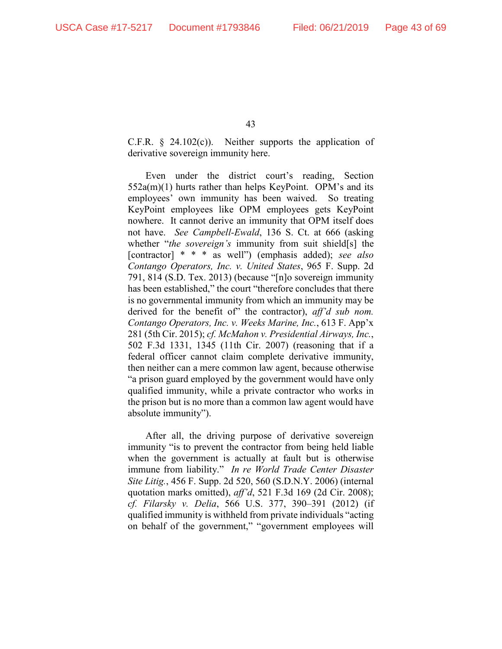C.F.R.  $\&$  24.102(c)). Neither supports the application of derivative sovereign immunity here.

Even under the district court's reading, Section 552a(m)(1) hurts rather than helps KeyPoint. OPM's and its employees' own immunity has been waived. So treating KeyPoint employees like OPM employees gets KeyPoint nowhere. It cannot derive an immunity that OPM itself does not have. *See Campbell-Ewald*, 136 S. Ct. at 666 (asking whether "*the sovereign's* immunity from suit shield[s] the [contractor] \* \* \* as well") (emphasis added); *see also Contango Operators, Inc. v. United States*, 965 F. Supp. 2d 791, 814 (S.D. Tex. 2013) (because "[n]o sovereign immunity has been established," the court "therefore concludes that there is no governmental immunity from which an immunity may be derived for the benefit of" the contractor), *aff'd sub nom. Contango Operators, Inc. v. Weeks Marine, Inc.*, 613 F. App'x 281 (5th Cir. 2015); *cf. McMahon v. Presidential Airways, Inc.*, 502 F.3d 1331, 1345 (11th Cir. 2007) (reasoning that if a federal officer cannot claim complete derivative immunity, then neither can a mere common law agent, because otherwise "a prison guard employed by the government would have only qualified immunity, while a private contractor who works in the prison but is no more than a common law agent would have absolute immunity").

After all, the driving purpose of derivative sovereign immunity "is to prevent the contractor from being held liable when the government is actually at fault but is otherwise immune from liability." *In re World Trade Center Disaster Site Litig.*, 456 F. Supp. 2d 520, 560 (S.D.N.Y. 2006) (internal quotation marks omitted), *aff'd*, 521 F.3d 169 (2d Cir. 2008); *cf. Filarsky v. Delia*, 566 U.S. 377, 390–391 (2012) (if qualified immunity is withheld from private individuals "acting on behalf of the government," "government employees will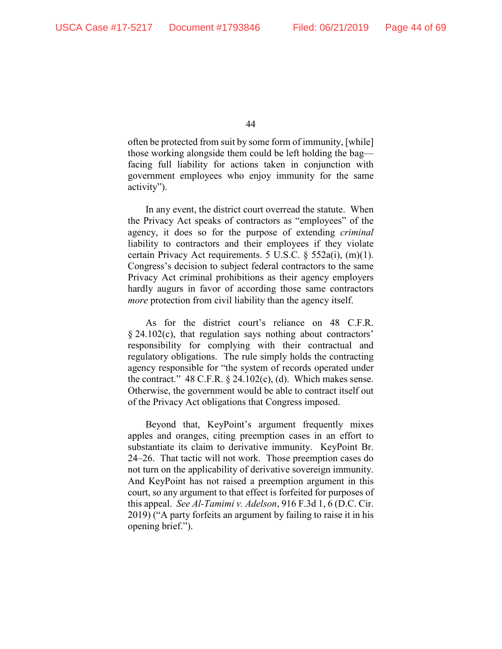often be protected from suit by some form of immunity, [while] those working alongside them could be left holding the bag facing full liability for actions taken in conjunction with government employees who enjoy immunity for the same activity").

In any event, the district court overread the statute. When the Privacy Act speaks of contractors as "employees" of the agency, it does so for the purpose of extending *criminal* liability to contractors and their employees if they violate certain Privacy Act requirements. 5 U.S.C. § 552a(i), (m)(1). Congress's decision to subject federal contractors to the same Privacy Act criminal prohibitions as their agency employers hardly augurs in favor of according those same contractors *more* protection from civil liability than the agency itself.

As for the district court's reliance on 48 C.F.R. § 24.102(c), that regulation says nothing about contractors' responsibility for complying with their contractual and regulatory obligations. The rule simply holds the contracting agency responsible for "the system of records operated under the contract."  $48$  C.F.R.  $\S$  24.102(c), (d). Which makes sense. Otherwise, the government would be able to contract itself out of the Privacy Act obligations that Congress imposed.

Beyond that, KeyPoint's argument frequently mixes apples and oranges, citing preemption cases in an effort to substantiate its claim to derivative immunity. KeyPoint Br. 24*–*26. That tactic will not work. Those preemption cases do not turn on the applicability of derivative sovereign immunity. And KeyPoint has not raised a preemption argument in this court, so any argument to that effect is forfeited for purposes of this appeal. *See Al-Tamimi v. Adelson*, 916 F.3d 1, 6 (D.C. Cir. 2019) ("A party forfeits an argument by failing to raise it in his opening brief.").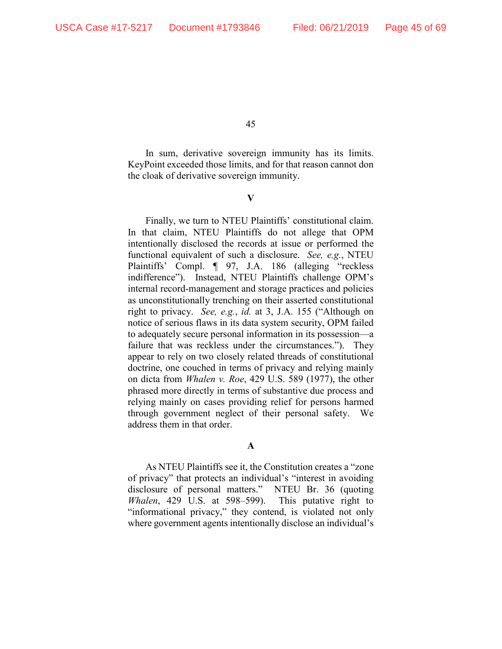In sum, derivative sovereign immunity has its limits. KeyPoint exceeded those limits, and for that reason cannot don the cloak of derivative sovereign immunity.

**V**

Finally, we turn to NTEU Plaintiffs' constitutional claim. In that claim, NTEU Plaintiffs do not allege that OPM intentionally disclosed the records at issue or performed the functional equivalent of such a disclosure. *See, e.g.*, NTEU Plaintiffs' Compl. ¶ 97, J.A. 186 (alleging "reckless indifference"). Instead, NTEU Plaintiffs challenge OPM's internal record-management and storage practices and policies as unconstitutionally trenching on their asserted constitutional right to privacy. *See, e.g.*, *id.* at 3, J.A. 155 ("Although on notice of serious flaws in its data system security, OPM failed to adequately secure personal information in its possession—a failure that was reckless under the circumstances."). They appear to rely on two closely related threads of constitutional doctrine, one couched in terms of privacy and relying mainly on dicta from *Whalen v. Roe*, 429 U.S. 589 (1977), the other phrased more directly in terms of substantive due process and relying mainly on cases providing relief for persons harmed through government neglect of their personal safety. We address them in that order.

## **A**

As NTEU Plaintiffs see it, the Constitution creates a "zone of privacy" that protects an individual's "interest in avoiding disclosure of personal matters." NTEU Br. 36 (quoting *Whalen*, 429 U.S. at 598–599). This putative right to "informational privacy," they contend, is violated not only where government agents intentionally disclose an individual's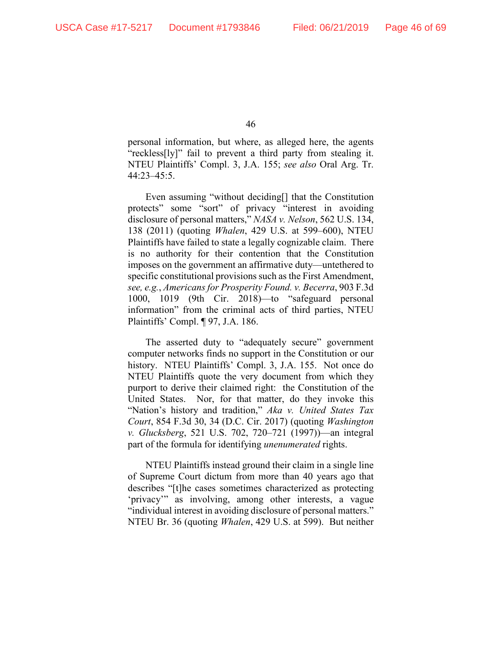personal information, but where, as alleged here, the agents "reckless[ly]" fail to prevent a third party from stealing it. NTEU Plaintiffs' Compl. 3, J.A. 155; *see also* Oral Arg. Tr. 44:23–45:5.

Even assuming "without deciding[] that the Constitution protects" some "sort" of privacy "interest in avoiding disclosure of personal matters," *NASA v. Nelson*, 562 U.S. 134, 138 (2011) (quoting *Whalen*, 429 U.S. at 599–600), NTEU Plaintiffs have failed to state a legally cognizable claim. There is no authority for their contention that the Constitution imposes on the government an affirmative duty—untethered to specific constitutional provisions such as the First Amendment, *see, e.g.*, *Americans for Prosperity Found. v. Becerra*, 903 F.3d 1000, 1019 (9th Cir. 2018)—to "safeguard personal information" from the criminal acts of third parties, NTEU Plaintiffs' Compl. ¶ 97, J.A. 186.

The asserted duty to "adequately secure" government computer networks finds no support in the Constitution or our history. NTEU Plaintiffs' Compl. 3, J.A. 155. Not once do NTEU Plaintiffs quote the very document from which they purport to derive their claimed right: the Constitution of the United States. Nor, for that matter, do they invoke this "Nation's history and tradition," *Aka v. United States Tax Court*, 854 F.3d 30, 34 (D.C. Cir. 2017) (quoting *Washington v. Glucksberg*, 521 U.S. 702, 720–721 (1997))—an integral part of the formula for identifying *unenumerated* rights.

NTEU Plaintiffs instead ground their claim in a single line of Supreme Court dictum from more than 40 years ago that describes "[t]he cases sometimes characterized as protecting 'privacy'" as involving, among other interests, a vague "individual interest in avoiding disclosure of personal matters." NTEU Br. 36 (quoting *Whalen*, 429 U.S. at 599). But neither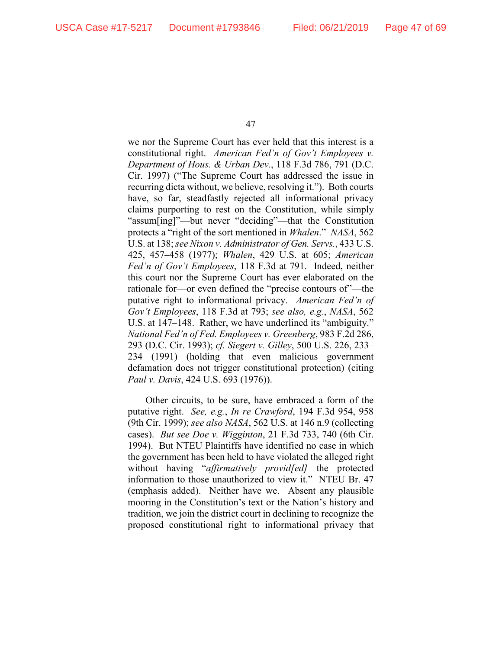we nor the Supreme Court has ever held that this interest is a constitutional right. *American Fed'n of Gov't Employees v. Department of Hous. & Urban Dev.*, 118 F.3d 786, 791 (D.C. Cir. 1997) ("The Supreme Court has addressed the issue in recurring dicta without, we believe, resolving it."). Both courts have, so far, steadfastly rejected all informational privacy claims purporting to rest on the Constitution, while simply "assum[ing]"—but never "deciding"—that the Constitution protects a "right of the sort mentioned in *Whalen*." *NASA*, 562 U.S. at 138; *see Nixon v. Administrator of Gen. Servs.*, 433 U.S. 425, 457–458 (1977); *Whalen*, 429 U.S. at 605; *American Fed'n of Gov't Employees*, 118 F.3d at 791. Indeed, neither this court nor the Supreme Court has ever elaborated on the rationale for—or even defined the "precise contours of"—the putative right to informational privacy. *American Fed'n of Gov't Employees*, 118 F.3d at 793; *see also, e.g.*, *NASA*, 562 U.S. at 147–148. Rather, we have underlined its "ambiguity." *National Fed'n of Fed. Employees v. Greenberg*, 983 F.2d 286, 293 (D.C. Cir. 1993); *cf. Siegert v. Gilley*, 500 U.S. 226, 233– 234 (1991) (holding that even malicious government defamation does not trigger constitutional protection) (citing *Paul v. Davis*, 424 U.S. 693 (1976)).

Other circuits, to be sure, have embraced a form of the putative right. *See, e.g.*, *In re Crawford*, 194 F.3d 954, 958 (9th Cir. 1999); *see also NASA*, 562 U.S. at 146 n.9 (collecting cases). *But see Doe v. Wigginton*, 21 F.3d 733, 740 (6th Cir. 1994). But NTEU Plaintiffs have identified no case in which the government has been held to have violated the alleged right without having "*affirmatively provid[ed]* the protected information to those unauthorized to view it." NTEU Br. 47 (emphasis added). Neither have we. Absent any plausible mooring in the Constitution's text or the Nation's history and tradition, we join the district court in declining to recognize the proposed constitutional right to informational privacy that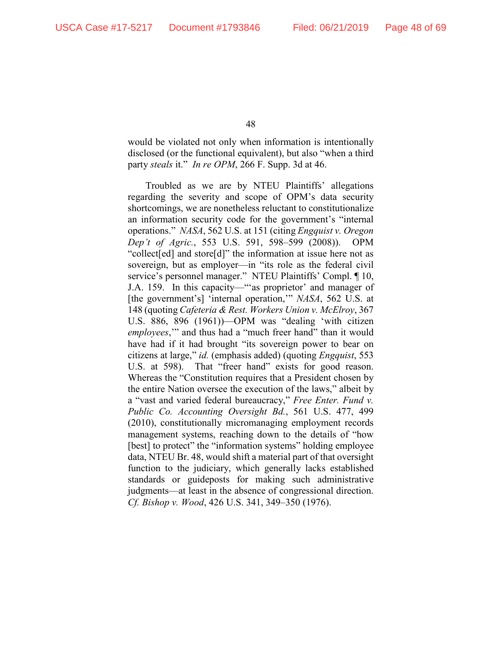would be violated not only when information is intentionally disclosed (or the functional equivalent), but also "when a third party *steals* it." *In re OPM*, 266 F. Supp. 3d at 46.

Troubled as we are by NTEU Plaintiffs' allegations regarding the severity and scope of OPM's data security shortcomings, we are nonetheless reluctant to constitutionalize an information security code for the government's "internal operations." *NASA*, 562 U.S. at 151 (citing *Engquist v. Oregon Dep't of Agric.*, 553 U.S. 591, 598–599 (2008)). OPM "collect[ed] and store[d]" the information at issue here not as sovereign, but as employer—in "its role as the federal civil service's personnel manager." NTEU Plaintiffs' Compl. ¶ 10, J.A. 159. In this capacity—"'as proprietor' and manager of [the government's] 'internal operation,'" *NASA*, 562 U.S. at 148 (quoting *Cafeteria & Rest. Workers Union v. McElroy*, 367 U.S. 886, 896 (1961))—OPM was "dealing 'with citizen *employees*,'" and thus had a "much freer hand" than it would have had if it had brought "its sovereign power to bear on citizens at large," *id.* (emphasis added) (quoting *Engquist*, 553 U.S. at 598). That "freer hand" exists for good reason. Whereas the "Constitution requires that a President chosen by the entire Nation oversee the execution of the laws," albeit by a "vast and varied federal bureaucracy," *Free Enter. Fund v. Public Co. Accounting Oversight Bd.*, 561 U.S. 477, 499 (2010), constitutionally micromanaging employment records management systems, reaching down to the details of "how [best] to protect" the "information systems" holding employee data, NTEU Br. 48, would shift a material part of that oversight function to the judiciary, which generally lacks established standards or guideposts for making such administrative judgments—at least in the absence of congressional direction. *Cf. Bishop v. Wood*, 426 U.S. 341, 349–350 (1976).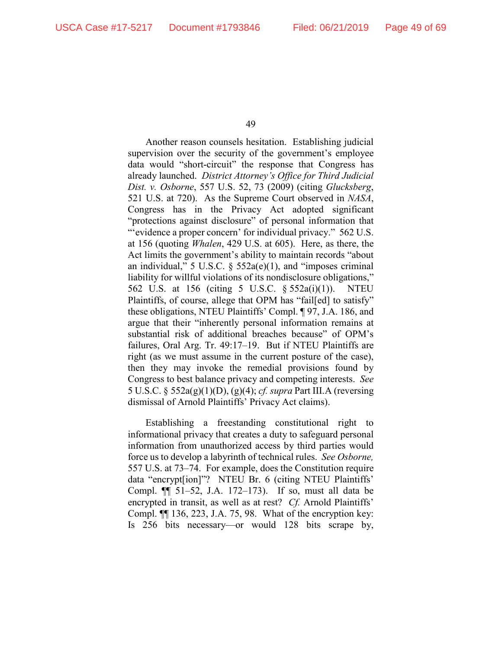Another reason counsels hesitation. Establishing judicial supervision over the security of the government's employee data would "short-circuit" the response that Congress has already launched. *District Attorney's Office for Third Judicial Dist. v. Osborne*, 557 U.S. 52, 73 (2009) (citing *Glucksberg*, 521 U.S. at 720). As the Supreme Court observed in *NASA*, Congress has in the Privacy Act adopted significant "protections against disclosure" of personal information that "'evidence a proper concern' for individual privacy." 562 U.S. at 156 (quoting *Whalen*, 429 U.S. at 605). Here, as there, the Act limits the government's ability to maintain records "about an individual," 5 U.S.C.  $\S$  552a(e)(1), and "imposes criminal liability for willful violations of its nondisclosure obligations," 562 U.S. at 156 (citing 5 U.S.C. § 552a(i)(1)). NTEU Plaintiffs, of course, allege that OPM has "fail[ed] to satisfy" these obligations, NTEU Plaintiffs' Compl. ¶ 97, J.A. 186, and argue that their "inherently personal information remains at substantial risk of additional breaches because" of OPM's failures, Oral Arg. Tr. 49:17–19. But if NTEU Plaintiffs are right (as we must assume in the current posture of the case), then they may invoke the remedial provisions found by Congress to best balance privacy and competing interests. *See* 5 U.S.C. § 552a(g)(1)(D), (g)(4); *cf. supra* Part III.A (reversing dismissal of Arnold Plaintiffs' Privacy Act claims).

Establishing a freestanding constitutional right to informational privacy that creates a duty to safeguard personal information from unauthorized access by third parties would force us to develop a labyrinth of technical rules. *See Osborne,*  557 U.S. at 73–74. For example, does the Constitution require data "encrypt[ion]"? NTEU Br. 6 (citing NTEU Plaintiffs' Compl. ¶¶ 51–52, J.A. 172–173). If so, must all data be encrypted in transit, as well as at rest? *Cf.* Arnold Plaintiffs' Compl. ¶¶ 136, 223, J.A. 75, 98. What of the encryption key: Is 256 bits necessary—or would 128 bits scrape by,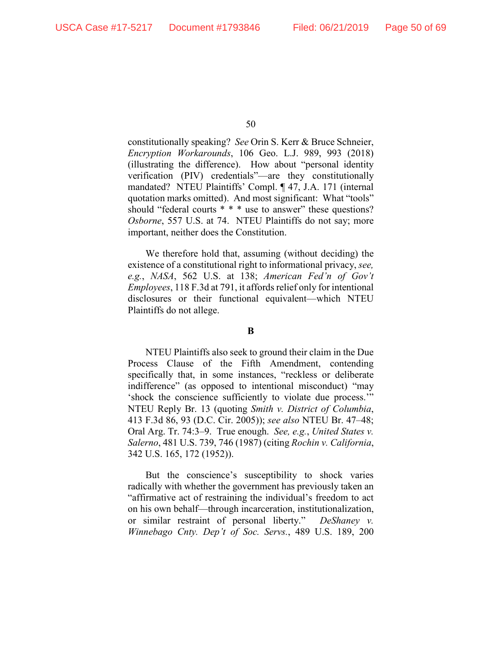constitutionally speaking? *See* Orin S. Kerr & Bruce Schneier, *Encryption Workarounds*, 106 Geo. L.J. 989, 993 (2018) (illustrating the difference). How about "personal identity verification (PIV) credentials"—are they constitutionally mandated? NTEU Plaintiffs' Compl. ¶ 47, J.A. 171 (internal quotation marks omitted). And most significant: What "tools" should "federal courts \* \* \* use to answer" these questions? *Osborne*, 557 U.S. at 74. NTEU Plaintiffs do not say; more important, neither does the Constitution.

We therefore hold that, assuming (without deciding) the existence of a constitutional right to informational privacy, *see, e.g.*, *NASA*, 562 U.S. at 138; *American Fed'n of Gov't Employees*, 118 F.3d at 791, it affords relief only for intentional disclosures or their functional equivalent—which NTEU Plaintiffs do not allege.

## **B**

NTEU Plaintiffs also seek to ground their claim in the Due Process Clause of the Fifth Amendment, contending specifically that, in some instances, "reckless or deliberate indifference" (as opposed to intentional misconduct) "may 'shock the conscience sufficiently to violate due process.'" NTEU Reply Br. 13 (quoting *Smith v. District of Columbia*, 413 F.3d 86, 93 (D.C. Cir. 2005)); *see also* NTEU Br. 47–48; Oral Arg. Tr. 74:3–9. True enough. *See, e.g.*, *United States v. Salerno*, 481 U.S. 739, 746 (1987) (citing *Rochin v. California*, 342 U.S. 165, 172 (1952)).

But the conscience's susceptibility to shock varies radically with whether the government has previously taken an "affirmative act of restraining the individual's freedom to act on his own behalf—through incarceration, institutionalization, or similar restraint of personal liberty." *DeShaney v. Winnebago Cnty. Dep't of Soc. Servs.*, 489 U.S. 189, 200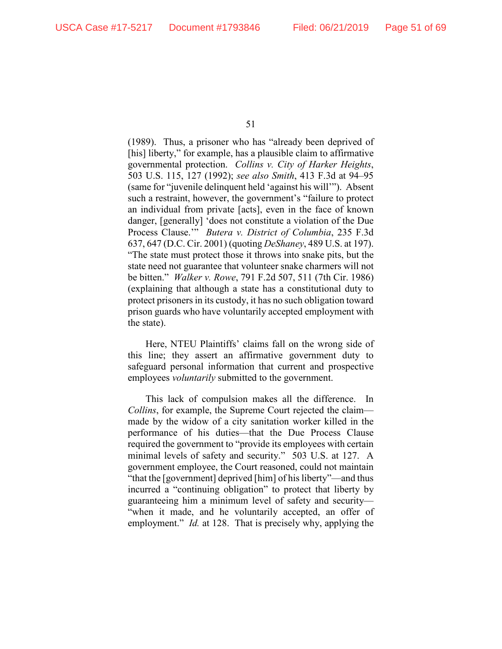(1989). Thus, a prisoner who has "already been deprived of [his] liberty," for example, has a plausible claim to affirmative governmental protection. *Collins v. City of Harker Heights*, 503 U.S. 115, 127 (1992); *see also Smith*, 413 F.3d at 94–95 (same for "juvenile delinquent held 'against his will'"). Absent such a restraint, however, the government's "failure to protect an individual from private [acts], even in the face of known danger, [generally] 'does not constitute a violation of the Due Process Clause.'" *Butera v. District of Columbia*, 235 F.3d 637, 647 (D.C. Cir. 2001) (quoting *DeShaney*, 489 U.S. at 197). "The state must protect those it throws into snake pits, but the state need not guarantee that volunteer snake charmers will not be bitten." *Walker v. Rowe*, 791 F.2d 507, 511 (7th Cir. 1986) (explaining that although a state has a constitutional duty to protect prisoners in its custody, it has no such obligation toward prison guards who have voluntarily accepted employment with the state).

Here, NTEU Plaintiffs' claims fall on the wrong side of this line; they assert an affirmative government duty to safeguard personal information that current and prospective employees *voluntarily* submitted to the government.

This lack of compulsion makes all the difference. In *Collins*, for example, the Supreme Court rejected the claim made by the widow of a city sanitation worker killed in the performance of his duties—that the Due Process Clause required the government to "provide its employees with certain minimal levels of safety and security." 503 U.S. at 127. A government employee, the Court reasoned, could not maintain "that the [government] deprived [him] of his liberty"—and thus incurred a "continuing obligation" to protect that liberty by guaranteeing him a minimum level of safety and security— "when it made, and he voluntarily accepted, an offer of employment." *Id.* at 128. That is precisely why, applying the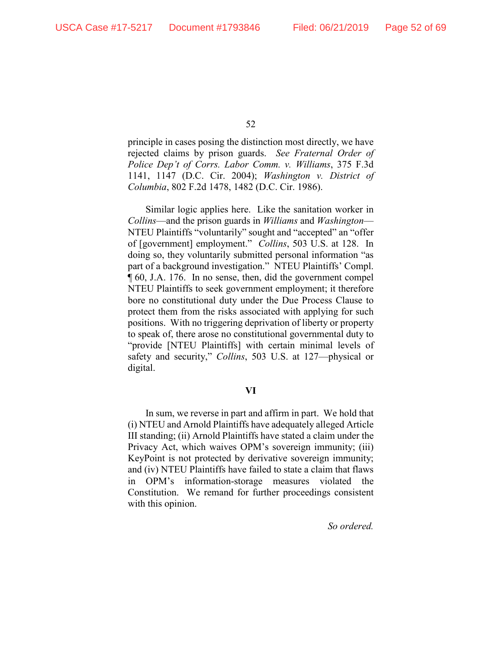principle in cases posing the distinction most directly, we have rejected claims by prison guards. *See Fraternal Order of Police Dep't of Corrs. Labor Comm. v. Williams*, 375 F.3d 1141, 1147 (D.C. Cir. 2004); *Washington v. District of Columbia*, 802 F.2d 1478, 1482 (D.C. Cir. 1986).

Similar logic applies here. Like the sanitation worker in *Collins*—and the prison guards in *Williams* and *Washington*— NTEU Plaintiffs "voluntarily" sought and "accepted" an "offer of [government] employment." *Collins*, 503 U.S. at 128. In doing so, they voluntarily submitted personal information "as part of a background investigation." NTEU Plaintiffs' Compl. ¶ 60, J.A. 176. In no sense, then, did the government compel NTEU Plaintiffs to seek government employment; it therefore bore no constitutional duty under the Due Process Clause to protect them from the risks associated with applying for such positions. With no triggering deprivation of liberty or property to speak of, there arose no constitutional governmental duty to "provide [NTEU Plaintiffs] with certain minimal levels of safety and security," *Collins*, 503 U.S. at 127—physical or digital.

## **VI**

In sum, we reverse in part and affirm in part. We hold that (i) NTEU and Arnold Plaintiffs have adequately alleged Article III standing; (ii) Arnold Plaintiffs have stated a claim under the Privacy Act, which waives OPM's sovereign immunity; (iii) KeyPoint is not protected by derivative sovereign immunity; and (iv) NTEU Plaintiffs have failed to state a claim that flaws in OPM's information-storage measures violated the Constitution. We remand for further proceedings consistent with this opinion.

## *So ordered.*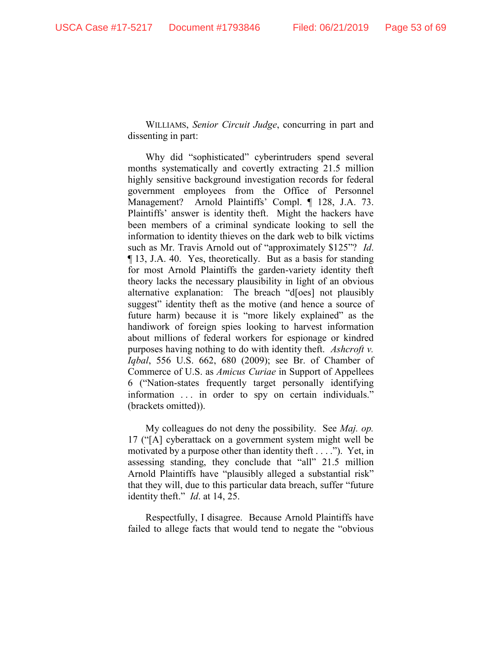WILLIAMS, *Senior Circuit Judge*, concurring in part and dissenting in part:

Why did "sophisticated" cyberintruders spend several months systematically and covertly extracting 21.5 million highly sensitive background investigation records for federal government employees from the Office of Personnel Management? Arnold Plaintiffs' Compl. ¶ 128, J.A. 73. Plaintiffs' answer is identity theft. Might the hackers have been members of a criminal syndicate looking to sell the information to identity thieves on the dark web to bilk victims such as Mr. Travis Arnold out of "approximately \$125"? *Id*. ¶ 13, J.A. 40. Yes, theoretically. But as a basis for standing for most Arnold Plaintiffs the garden-variety identity theft theory lacks the necessary plausibility in light of an obvious alternative explanation: The breach "d[oes] not plausibly suggest" identity theft as the motive (and hence a source of future harm) because it is "more likely explained" as the handiwork of foreign spies looking to harvest information about millions of federal workers for espionage or kindred purposes having nothing to do with identity theft. *Ashcroft v. Iqbal*, 556 U.S. 662, 680 (2009); see Br. of Chamber of Commerce of U.S. as *Amicus Curiae* in Support of Appellees 6 ("Nation-states frequently target personally identifying information ... in order to spy on certain individuals." (brackets omitted)).

My colleagues do not deny the possibility. See *Maj. op.* 17 ("[A] cyberattack on a government system might well be motivated by a purpose other than identity theft . . . ."). Yet, in assessing standing, they conclude that "all" 21.5 million Arnold Plaintiffs have "plausibly alleged a substantial risk" that they will, due to this particular data breach, suffer "future identity theft." *Id*. at 14, 25.

Respectfully, I disagree. Because Arnold Plaintiffs have failed to allege facts that would tend to negate the "obvious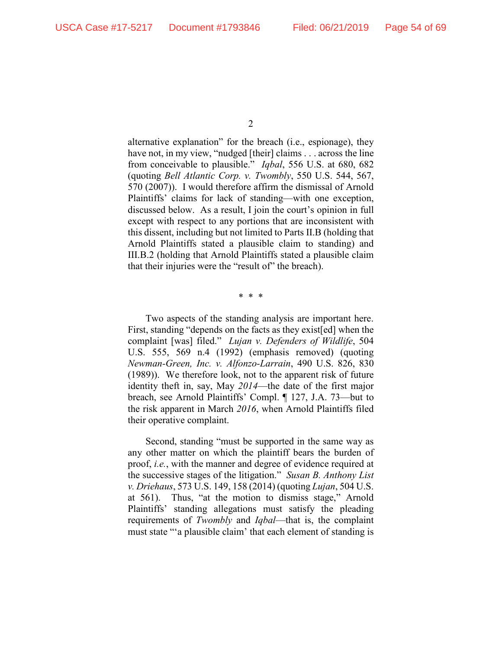alternative explanation" for the breach (i.e., espionage), they have not, in my view, "nudged [their] claims . . . across the line from conceivable to plausible." *Iqbal*, 556 U.S. at 680, 682 (quoting *Bell Atlantic Corp. v. Twombly*, 550 U.S. 544, 567, 570 (2007)). I would therefore affirm the dismissal of Arnold Plaintiffs' claims for lack of standing—with one exception, discussed below. As a result, I join the court's opinion in full except with respect to any portions that are inconsistent with this dissent, including but not limited to Parts II.B (holding that Arnold Plaintiffs stated a plausible claim to standing) and III.B.2 (holding that Arnold Plaintiffs stated a plausible claim that their injuries were the "result of" the breach).

\* \* \*

Two aspects of the standing analysis are important here. First, standing "depends on the facts as they exist [ed] when the complaint [was] filed." *Lujan v. Defenders of Wildlife*, 504 U.S. 555, 569 n.4 (1992) (emphasis removed) (quoting *Newman-Green, Inc. v. Alfonzo-Larrain*, 490 U.S. 826, 830 (1989)). We therefore look, not to the apparent risk of future identity theft in, say, May *2014*—the date of the first major breach, see Arnold Plaintiffs' Compl. ¶ 127, J.A. 73—but to the risk apparent in March *2016*, when Arnold Plaintiffs filed their operative complaint.

Second, standing "must be supported in the same way as any other matter on which the plaintiff bears the burden of proof, *i.e.*, with the manner and degree of evidence required at the successive stages of the litigation." *Susan B. Anthony List v. Driehaus*, 573 U.S. 149, 158 (2014) (quoting *Lujan*, 504 U.S. at 561). Thus, "at the motion to dismiss stage," Arnold Plaintiffs' standing allegations must satisfy the pleading requirements of *Twombly* and *Iqbal*—that is, the complaint must state "'a plausible claim' that each element of standing is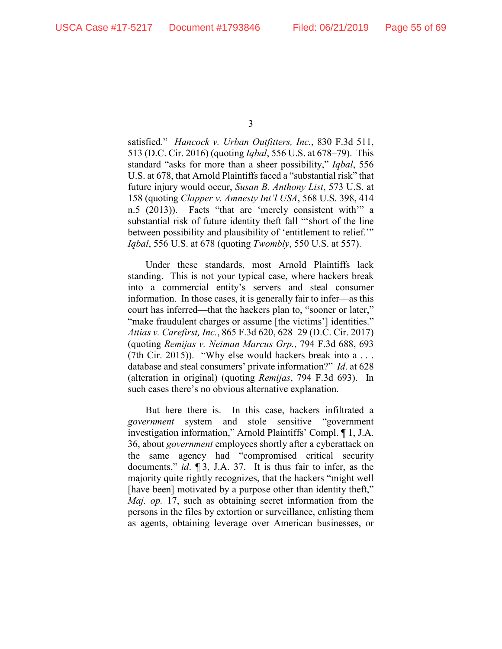satisfied." *Hancock v. Urban Outfitters, Inc.*, 830 F.3d 511, 513 (D.C. Cir. 2016) (quoting *Iqbal*, 556 U.S. at 678–79). This standard "asks for more than a sheer possibility," *Iqbal*, 556 U.S. at 678, that Arnold Plaintiffs faced a "substantial risk" that future injury would occur, *Susan B. Anthony List*, 573 U.S. at 158 (quoting *Clapper v. Amnesty Int'l USA*, 568 U.S. 398, 414 n.5 (2013)). Facts "that are 'merely consistent with'" a substantial risk of future identity theft fall "'short of the line between possibility and plausibility of 'entitlement to relief.'" *Iqbal*, 556 U.S. at 678 (quoting *Twombly*, 550 U.S. at 557).

Under these standards, most Arnold Plaintiffs lack standing. This is not your typical case, where hackers break into a commercial entity's servers and steal consumer information. In those cases, it is generally fair to infer—as this court has inferred—that the hackers plan to, "sooner or later," "make fraudulent charges or assume [the victims'] identities." *Attias v. Carefirst, Inc.*, 865 F.3d 620, 628–29 (D.C. Cir. 2017) (quoting *Remijas v. Neiman Marcus Grp.*, 794 F.3d 688, 693 (7th Cir. 2015)). "Why else would hackers break into a . . . database and steal consumers' private information?" *Id*. at 628 (alteration in original) (quoting *Remijas*, 794 F.3d 693). In such cases there's no obvious alternative explanation.

But here there is. In this case, hackers infiltrated a *government* system and stole sensitive "government investigation information," Arnold Plaintiffs' Compl. ¶ 1, J.A. 36, about *government* employees shortly after a cyberattack on the same agency had "compromised critical security documents," *id*. ¶ 3, J.A. 37. It is thus fair to infer, as the majority quite rightly recognizes, that the hackers "might well [have been] motivated by a purpose other than identity theft," *Maj. op.* 17, such as obtaining secret information from the persons in the files by extortion or surveillance, enlisting them as agents, obtaining leverage over American businesses, or

<sup>3</sup>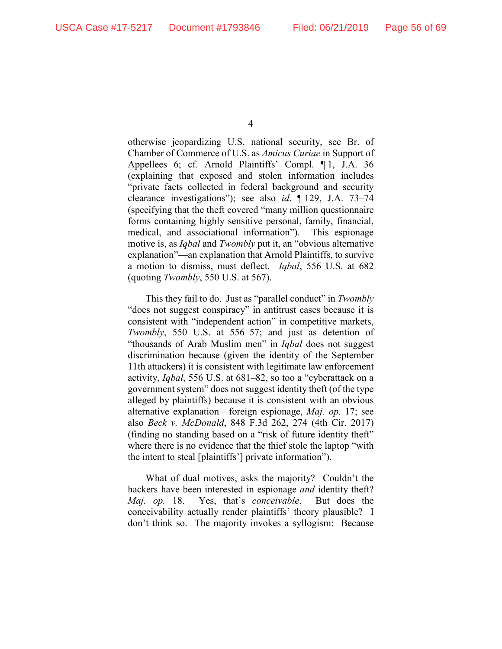otherwise jeopardizing U.S. national security, see Br. of Chamber of Commerce of U.S. as *Amicus Curiae* in Support of Appellees 6; cf. Arnold Plaintiffs' Compl. ¶ 1, J.A. 36 (explaining that exposed and stolen information includes "private facts collected in federal background and security clearance investigations"); see also *id*. ¶ 129, J.A. 73–74 (specifying that the theft covered "many million questionnaire forms containing highly sensitive personal, family, financial, medical, and associational information"). This espionage motive is, as *Iqbal* and *Twombly* put it, an "obvious alternative explanation"—an explanation that Arnold Plaintiffs, to survive a motion to dismiss, must deflect. *Iqbal*, 556 U.S. at 682 (quoting *Twombly*, 550 U.S. at 567).

This they fail to do. Just as "parallel conduct" in *Twombly* "does not suggest conspiracy" in antitrust cases because it is consistent with "independent action" in competitive markets, *Twombly*, 550 U.S. at 556–57; and just as detention of "thousands of Arab Muslim men" in *Iqbal* does not suggest discrimination because (given the identity of the September 11th attackers) it is consistent with legitimate law enforcement activity, *Iqbal*, 556 U.S. at 681–82, so too a "cyberattack on a government system" does not suggest identity theft (of the type alleged by plaintiffs) because it is consistent with an obvious alternative explanation—foreign espionage, *Maj. op.* 17; see also *Beck v. McDonald*, 848 F.3d 262, 274 (4th Cir. 2017) (finding no standing based on a "risk of future identity theft" where there is no evidence that the thief stole the laptop "with the intent to steal [plaintiffs'] private information").

What of dual motives, asks the majority? Couldn't the hackers have been interested in espionage *and* identity theft? *Maj. op.* 18. Yes, that's *conceivable*. But does the conceivability actually render plaintiffs' theory plausible? I don't think so. The majority invokes a syllogism: Because

<sup>4</sup>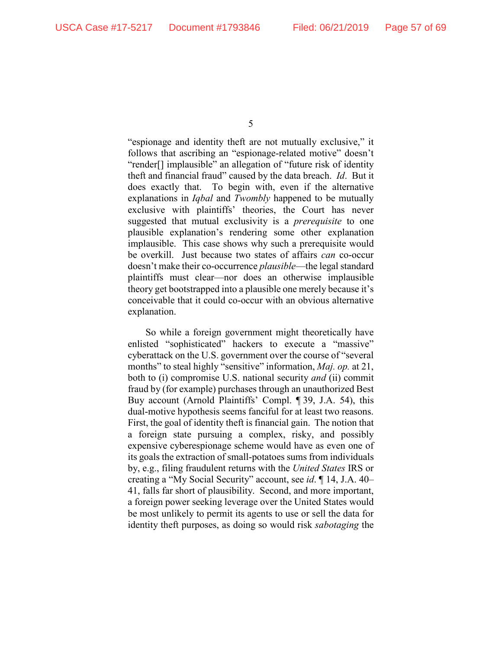"espionage and identity theft are not mutually exclusive," it follows that ascribing an "espionage-related motive" doesn't "render[] implausible" an allegation of "future risk of identity theft and financial fraud" caused by the data breach. *Id*. But it does exactly that. To begin with, even if the alternative explanations in *Iqbal* and *Twombly* happened to be mutually exclusive with plaintiffs' theories, the Court has never suggested that mutual exclusivity is a *prerequisite* to one plausible explanation's rendering some other explanation implausible. This case shows why such a prerequisite would be overkill. Just because two states of affairs *can* co-occur doesn't make their co-occurrence *plausible*—the legal standard plaintiffs must clear—nor does an otherwise implausible theory get bootstrapped into a plausible one merely because it's conceivable that it could co-occur with an obvious alternative explanation.

So while a foreign government might theoretically have enlisted "sophisticated" hackers to execute a "massive" cyberattack on the U.S. government over the course of "several months" to steal highly "sensitive" information, *Maj. op.* at 21, both to (i) compromise U.S. national security *and* (ii) commit fraud by (for example) purchases through an unauthorized Best Buy account (Arnold Plaintiffs' Compl. ¶ 39, J.A. 54), this dual-motive hypothesis seems fanciful for at least two reasons. First, the goal of identity theft is financial gain. The notion that a foreign state pursuing a complex, risky, and possibly expensive cyberespionage scheme would have as even one of its goals the extraction of small-potatoes sums from individuals by, e.g., filing fraudulent returns with the *United States* IRS or creating a "My Social Security" account, see *id*. ¶ 14, J.A. 40– 41, falls far short of plausibility. Second, and more important, a foreign power seeking leverage over the United States would be most unlikely to permit its agents to use or sell the data for identity theft purposes, as doing so would risk *sabotaging* the

<sup>5</sup>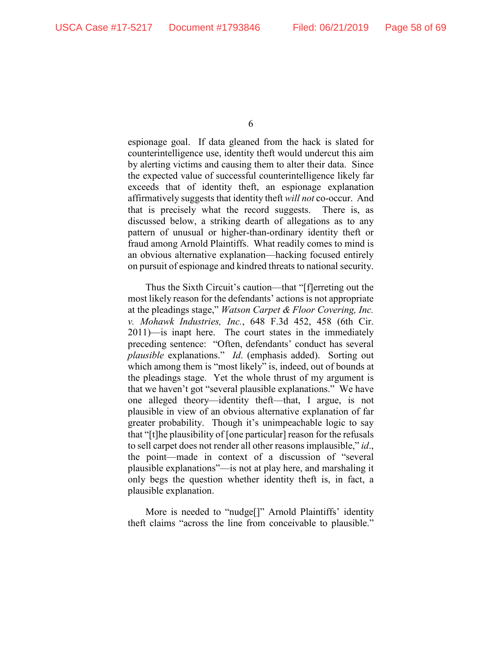espionage goal. If data gleaned from the hack is slated for counterintelligence use, identity theft would undercut this aim by alerting victims and causing them to alter their data. Since the expected value of successful counterintelligence likely far exceeds that of identity theft, an espionage explanation affirmatively suggests that identity theft *will not* co-occur. And that is precisely what the record suggests. There is, as discussed below, a striking dearth of allegations as to any pattern of unusual or higher-than-ordinary identity theft or fraud among Arnold Plaintiffs. What readily comes to mind is an obvious alternative explanation—hacking focused entirely on pursuit of espionage and kindred threats to national security.

Thus the Sixth Circuit's caution—that "[f]erreting out the most likely reason for the defendants' actions is not appropriate at the pleadings stage," *Watson Carpet & Floor Covering, Inc. v. Mohawk Industries, Inc.*, 648 F.3d 452, 458 (6th Cir. 2011)—is inapt here. The court states in the immediately preceding sentence: "Often, defendants' conduct has several *plausible* explanations." *Id*. (emphasis added). Sorting out which among them is "most likely" is, indeed, out of bounds at the pleadings stage. Yet the whole thrust of my argument is that we haven't got "several plausible explanations." We have one alleged theory—identity theft—that, I argue, is not plausible in view of an obvious alternative explanation of far greater probability. Though it's unimpeachable logic to say that "[t]he plausibility of [one particular] reason for the refusals to sell carpet does not render all other reasons implausible," *id*., the point—made in context of a discussion of "several plausible explanations"—is not at play here, and marshaling it only begs the question whether identity theft is, in fact, a plausible explanation.

More is needed to "nudge<sup>[]"</sup> Arnold Plaintiffs' identity theft claims "across the line from conceivable to plausible."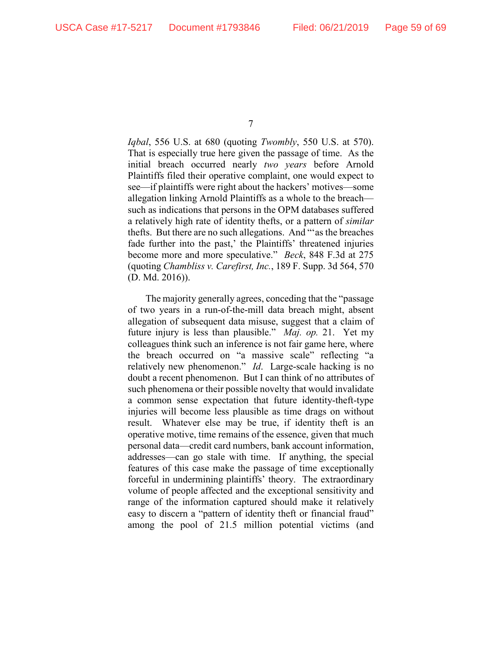*Iqbal*, 556 U.S. at 680 (quoting *Twombly*, 550 U.S. at 570). That is especially true here given the passage of time. As the initial breach occurred nearly *two years* before Arnold Plaintiffs filed their operative complaint, one would expect to see—if plaintiffs were right about the hackers' motives—some allegation linking Arnold Plaintiffs as a whole to the breach such as indications that persons in the OPM databases suffered a relatively high rate of identity thefts, or a pattern of *similar* thefts. But there are no such allegations. And "'as the breaches fade further into the past,' the Plaintiffs' threatened injuries become more and more speculative." *Beck*, 848 F.3d at 275 (quoting *Chambliss v. Carefirst, Inc.*, 189 F. Supp. 3d 564, 570 (D. Md. 2016)).

The majority generally agrees, conceding that the "passage of two years in a run-of-the-mill data breach might, absent allegation of subsequent data misuse, suggest that a claim of future injury is less than plausible." *Maj. op.* 21. Yet my colleagues think such an inference is not fair game here, where the breach occurred on "a massive scale" reflecting "a relatively new phenomenon." *Id*. Large-scale hacking is no doubt a recent phenomenon. But I can think of no attributes of such phenomena or their possible novelty that would invalidate a common sense expectation that future identity-theft-type injuries will become less plausible as time drags on without result. Whatever else may be true, if identity theft is an operative motive, time remains of the essence, given that much personal data—credit card numbers, bank account information, addresses—can go stale with time. If anything, the special features of this case make the passage of time exceptionally forceful in undermining plaintiffs' theory. The extraordinary volume of people affected and the exceptional sensitivity and range of the information captured should make it relatively easy to discern a "pattern of identity theft or financial fraud" among the pool of 21.5 million potential victims (and

<sup>7</sup>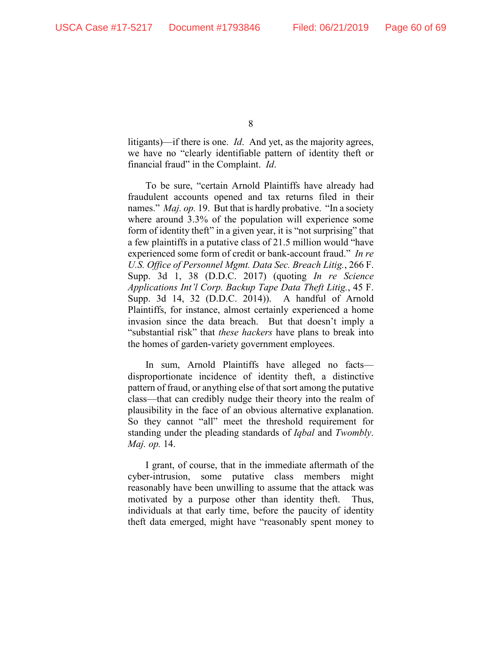litigants)—if there is one. *Id*.And yet, as the majority agrees, we have no "clearly identifiable pattern of identity theft or financial fraud" in the Complaint. *Id*.

To be sure, "certain Arnold Plaintiffs have already had fraudulent accounts opened and tax returns filed in their names." *Maj. op.* 19. But that is hardly probative. "In a society where around 3.3% of the population will experience some form of identity theft" in a given year, it is "not surprising" that a few plaintiffs in a putative class of 21.5 million would "have experienced some form of credit or bank-account fraud." *In re U.S. Office of Personnel Mgmt. Data Sec. Breach Litig.*, 266 F. Supp. 3d 1, 38 (D.D.C. 2017) (quoting *In re Science Applications Int'l Corp. Backup Tape Data Theft Litig.*, 45 F. Supp. 3d 14, 32 (D.D.C. 2014)). A handful of Arnold Plaintiffs, for instance, almost certainly experienced a home invasion since the data breach. But that doesn't imply a "substantial risk" that *these hackers* have plans to break into the homes of garden-variety government employees.

In sum, Arnold Plaintiffs have alleged no facts disproportionate incidence of identity theft, a distinctive pattern of fraud, or anything else of that sort among the putative class—that can credibly nudge their theory into the realm of plausibility in the face of an obvious alternative explanation. So they cannot "all" meet the threshold requirement for standing under the pleading standards of *Iqbal* and *Twombly*. *Maj. op.* 14.

I grant, of course, that in the immediate aftermath of the cyber-intrusion, some putative class members might reasonably have been unwilling to assume that the attack was motivated by a purpose other than identity theft. Thus, individuals at that early time, before the paucity of identity theft data emerged, might have "reasonably spent money to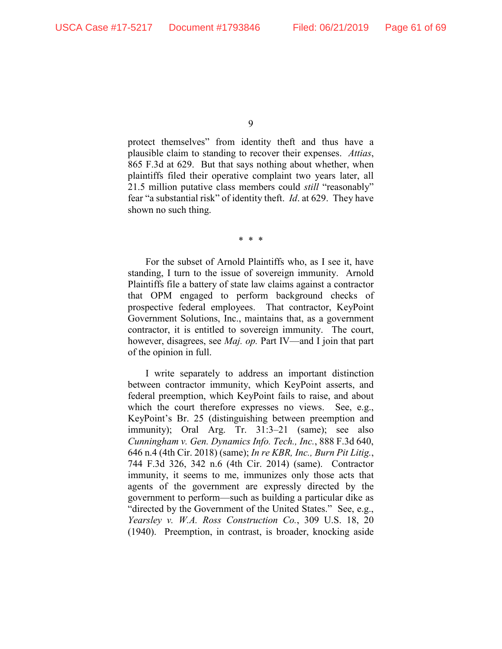protect themselves" from identity theft and thus have a plausible claim to standing to recover their expenses. *Attias*, 865 F.3d at 629. But that says nothing about whether, when plaintiffs filed their operative complaint two years later, all 21.5 million putative class members could *still* "reasonably" fear "a substantial risk" of identity theft. *Id*. at 629. They have shown no such thing.

\* \* \*

For the subset of Arnold Plaintiffs who, as I see it, have standing, I turn to the issue of sovereign immunity. Arnold Plaintiffs file a battery of state law claims against a contractor that OPM engaged to perform background checks of prospective federal employees. That contractor, KeyPoint Government Solutions, Inc., maintains that, as a government contractor, it is entitled to sovereign immunity. The court, however, disagrees, see *Maj. op.* Part IV—and I join that part of the opinion in full.

I write separately to address an important distinction between contractor immunity, which KeyPoint asserts, and federal preemption, which KeyPoint fails to raise, and about which the court therefore expresses no views. See, e.g., KeyPoint's Br. 25 (distinguishing between preemption and immunity); Oral Arg. Tr. 31:3–21 (same); see also *Cunningham v. Gen. Dynamics Info. Tech., Inc.*, 888 F.3d 640, 646 n.4 (4th Cir. 2018) (same); *In re KBR, Inc., Burn Pit Litig.*, 744 F.3d 326, 342 n.6 (4th Cir. 2014) (same). Contractor immunity, it seems to me, immunizes only those acts that agents of the government are expressly directed by the government to perform—such as building a particular dike as "directed by the Government of the United States." See, e.g., *Yearsley v. W.A. Ross Construction Co.*, 309 U.S. 18, 20 (1940). Preemption, in contrast, is broader, knocking aside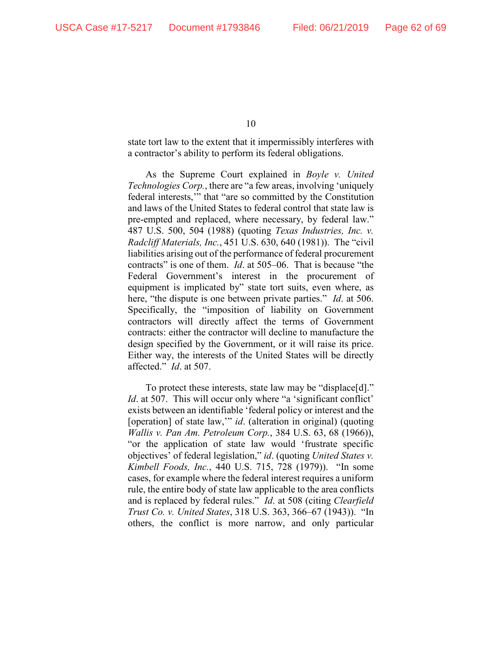state tort law to the extent that it impermissibly interferes with a contractor's ability to perform its federal obligations.

As the Supreme Court explained in *Boyle v. United Technologies Corp.*, there are "a few areas, involving 'uniquely federal interests,'" that "are so committed by the Constitution and laws of the United States to federal control that state law is pre-empted and replaced, where necessary, by federal law." 487 U.S. 500, 504 (1988) (quoting *Texas Industries, Inc. v. Radcliff Materials, Inc.*, 451 U.S. 630, 640 (1981)). The "civil liabilities arising out of the performance of federal procurement contracts" is one of them. *Id*. at 505–06. That is because "the Federal Government's interest in the procurement of equipment is implicated by" state tort suits, even where, as here, "the dispute is one between private parties." *Id*. at 506. Specifically, the "imposition of liability on Government contractors will directly affect the terms of Government contracts: either the contractor will decline to manufacture the design specified by the Government, or it will raise its price. Either way, the interests of the United States will be directly affected." *Id*. at 507.

To protect these interests, state law may be "displace[d]." *Id.* at 507. This will occur only where "a 'significant conflict' exists between an identifiable 'federal policy or interest and the [operation] of state law," *id*. (alteration in original) (quoting *Wallis v. Pan Am. Petroleum Corp.*, 384 U.S. 63, 68 (1966)), "or the application of state law would 'frustrate specific objectives' of federal legislation," *id*. (quoting *United States v. Kimbell Foods, Inc.*, 440 U.S. 715, 728 (1979)). "In some cases, for example where the federal interest requires a uniform rule, the entire body of state law applicable to the area conflicts and is replaced by federal rules." *Id*. at 508 (citing *Clearfield Trust Co. v. United States*, 318 U.S. 363, 366–67 (1943)). "In others, the conflict is more narrow, and only particular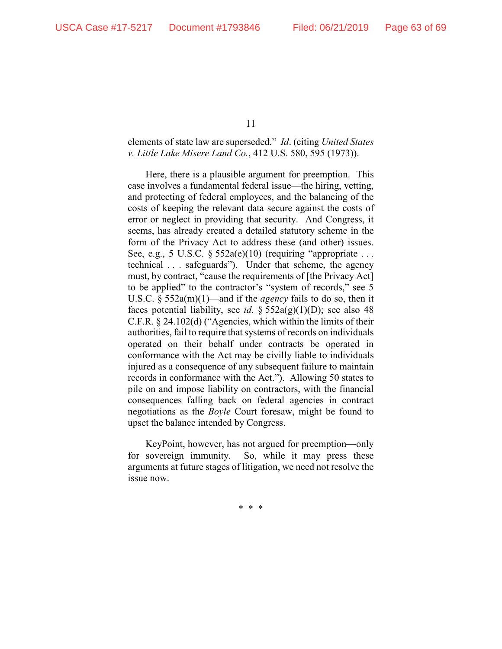## elements of state law are superseded." *Id*. (citing *United States v. Little Lake Misere Land Co.*, 412 U.S. 580, 595 (1973)).

Here, there is a plausible argument for preemption. This case involves a fundamental federal issue—the hiring, vetting, and protecting of federal employees, and the balancing of the costs of keeping the relevant data secure against the costs of error or neglect in providing that security. And Congress, it seems, has already created a detailed statutory scheme in the form of the Privacy Act to address these (and other) issues. See, e.g., 5 U.S.C.  $\S 552a(e)(10)$  (requiring "appropriate ... technical . . . safeguards"). Under that scheme, the agency must, by contract, "cause the requirements of [the Privacy Act] to be applied" to the contractor's "system of records," see 5 U.S.C. § 552a(m)(1)—and if the *agency* fails to do so, then it faces potential liability, see *id*. §  $552a(g)(1)(D)$ ; see also 48 C.F.R. § 24.102(d) ("Agencies, which within the limits of their authorities, fail to require that systems of records on individuals operated on their behalf under contracts be operated in conformance with the Act may be civilly liable to individuals injured as a consequence of any subsequent failure to maintain records in conformance with the Act."). Allowing 50 states to pile on and impose liability on contractors, with the financial consequences falling back on federal agencies in contract negotiations as the *Boyle* Court foresaw, might be found to upset the balance intended by Congress.

KeyPoint, however, has not argued for preemption—only for sovereign immunity. So, while it may press these arguments at future stages of litigation, we need not resolve the issue now.

\* \* \*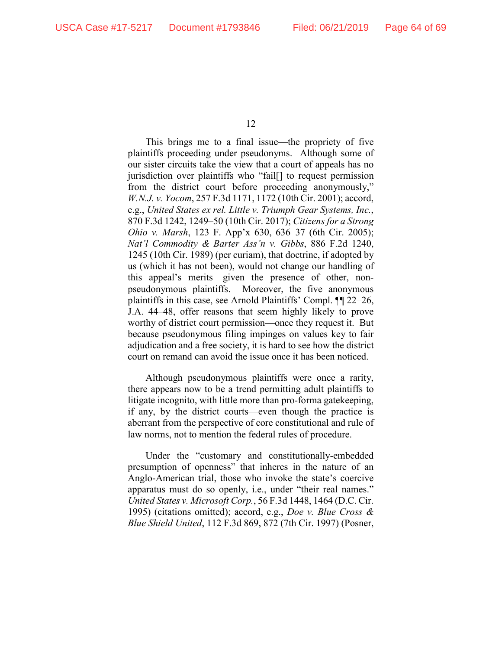This brings me to a final issue—the propriety of five plaintiffs proceeding under pseudonyms. Although some of our sister circuits take the view that a court of appeals has no jurisdiction over plaintiffs who "fail[] to request permission from the district court before proceeding anonymously," *W.N.J. v. Yocom*, 257 F.3d 1171, 1172 (10th Cir. 2001); accord, e.g., *United States ex rel. Little v. Triumph Gear Systems, Inc.*, 870 F.3d 1242, 1249–50 (10th Cir. 2017); *Citizens for a Strong Ohio v. Marsh*, 123 F. App'x 630, 636–37 (6th Cir. 2005); *Nat'l Commodity & Barter Ass'n v. Gibbs*, 886 F.2d 1240, 1245 (10th Cir. 1989) (per curiam), that doctrine, if adopted by us (which it has not been), would not change our handling of this appeal's merits—given the presence of other, nonpseudonymous plaintiffs. Moreover, the five anonymous plaintiffs in this case, see Arnold Plaintiffs' Compl. ¶¶ 22–26, J.A. 44–48, offer reasons that seem highly likely to prove worthy of district court permission—once they request it. But because pseudonymous filing impinges on values key to fair adjudication and a free society, it is hard to see how the district court on remand can avoid the issue once it has been noticed.

Although pseudonymous plaintiffs were once a rarity, there appears now to be a trend permitting adult plaintiffs to litigate incognito, with little more than pro-forma gatekeeping, if any, by the district courts—even though the practice is aberrant from the perspective of core constitutional and rule of law norms, not to mention the federal rules of procedure.

Under the "customary and constitutionally-embedded presumption of openness" that inheres in the nature of an Anglo-American trial, those who invoke the state's coercive apparatus must do so openly, i.e., under "their real names." *United States v. Microsoft Corp.*, 56 F.3d 1448, 1464 (D.C. Cir. 1995) (citations omitted); accord, e.g., *Doe v. Blue Cross & Blue Shield United*, 112 F.3d 869, 872 (7th Cir. 1997) (Posner,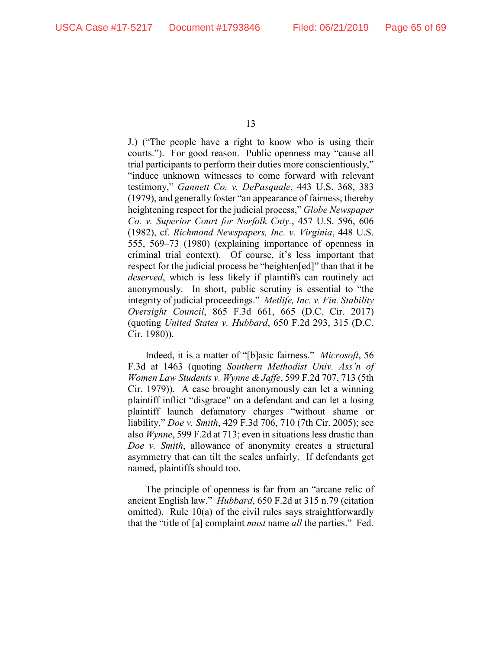J.) ("The people have a right to know who is using their courts."). For good reason. Public openness may "cause all trial participants to perform their duties more conscientiously," "induce unknown witnesses to come forward with relevant testimony," *Gannett Co. v. DePasquale*, 443 U.S. 368, 383 (1979), and generally foster "an appearance of fairness, thereby heightening respect for the judicial process," *Globe Newspaper Co. v. Superior Court for Norfolk Cnty.*, 457 U.S. 596, 606 (1982), cf. *Richmond Newspapers, Inc. v. Virginia*, 448 U.S. 555, 569–73 (1980) (explaining importance of openness in criminal trial context). Of course, it's less important that respect for the judicial process be "heighten[ed]" than that it be *deserved*, which is less likely if plaintiffs can routinely act anonymously. In short, public scrutiny is essential to "the integrity of judicial proceedings." *Metlife, Inc. v. Fin. Stability Oversight Council*, 865 F.3d 661, 665 (D.C. Cir. 2017) (quoting *United States v. Hubbard*, 650 F.2d 293, 315 (D.C. Cir. 1980)).

Indeed, it is a matter of "[b]asic fairness." *Microsoft*, 56 F.3d at 1463 (quoting *Southern Methodist Univ. Ass'n of Women Law Students v. Wynne & Jaffe*, 599 F.2d 707, 713 (5th Cir. 1979)). A case brought anonymously can let a winning plaintiff inflict "disgrace" on a defendant and can let a losing plaintiff launch defamatory charges "without shame or liability," *Doe v. Smith*, 429 F.3d 706, 710 (7th Cir. 2005); see also *Wynne*, 599 F.2d at 713; even in situations less drastic than *Doe v. Smith*, allowance of anonymity creates a structural asymmetry that can tilt the scales unfairly. If defendants get named, plaintiffs should too.

The principle of openness is far from an "arcane relic of ancient English law." *Hubbard*, 650 F.2d at 315 n.79 (citation omitted). Rule 10(a) of the civil rules says straightforwardly that the "title of [a] complaint *must* name *all* the parties." Fed.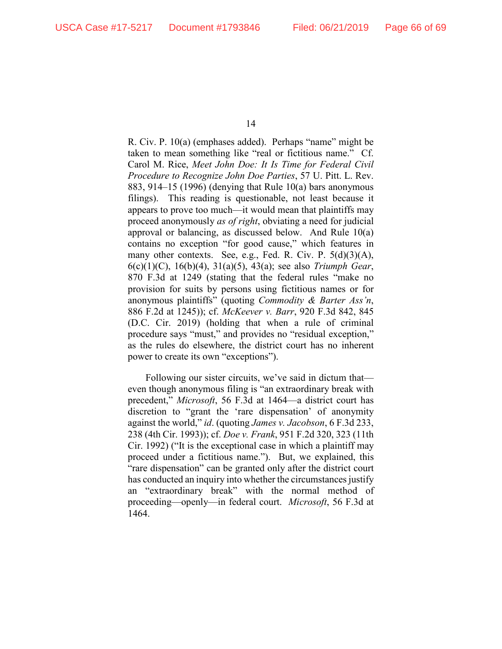R. Civ. P. 10(a) (emphases added). Perhaps "name" might be taken to mean something like "real or fictitious name." Cf. Carol M. Rice, *Meet John Doe: It Is Time for Federal Civil Procedure to Recognize John Doe Parties*, 57 U. Pitt. L. Rev. 883, 914–15 (1996) (denying that Rule 10(a) bars anonymous filings). This reading is questionable, not least because it appears to prove too much—it would mean that plaintiffs may proceed anonymously *as of right*, obviating a need for judicial approval or balancing, as discussed below. And Rule 10(a) contains no exception "for good cause," which features in many other contexts. See, e.g., Fed. R. Civ. P. 5(d)(3)(A), 6(c)(1)(C), 16(b)(4), 31(a)(5), 43(a); see also *Triumph Gear*, 870 F.3d at 1249 (stating that the federal rules "make no provision for suits by persons using fictitious names or for anonymous plaintiffs" (quoting *Commodity & Barter Ass'n*, 886 F.2d at 1245)); cf. *McKeever v. Barr*, 920 F.3d 842, 845 (D.C. Cir. 2019) (holding that when a rule of criminal procedure says "must," and provides no "residual exception," as the rules do elsewhere, the district court has no inherent power to create its own "exceptions").

Following our sister circuits, we've said in dictum that even though anonymous filing is "an extraordinary break with precedent," *Microsoft*, 56 F.3d at 1464—a district court has discretion to "grant the 'rare dispensation' of anonymity against the world," *id*. (quoting *James v. Jacobson*, 6 F.3d 233, 238 (4th Cir. 1993)); cf. *Doe v. Frank*, 951 F.2d 320, 323 (11th Cir. 1992) ("It is the exceptional case in which a plaintiff may proceed under a fictitious name."). But, we explained, this "rare dispensation" can be granted only after the district court has conducted an inquiry into whether the circumstances justify an "extraordinary break" with the normal method of proceeding—openly—in federal court. *Microsoft*, 56 F.3d at 1464.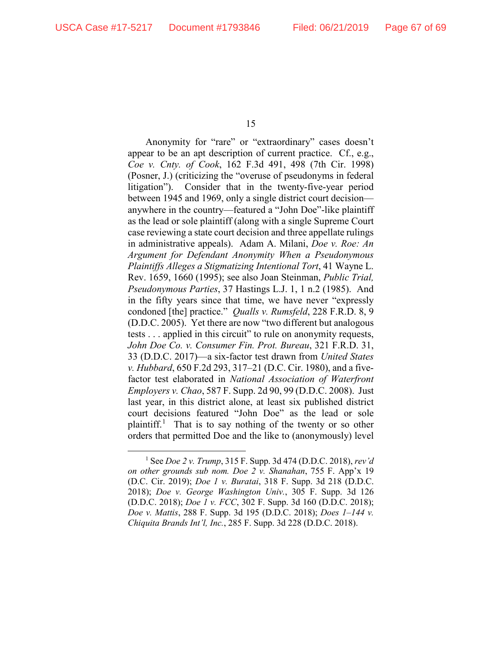Anonymity for "rare" or "extraordinary" cases doesn't appear to be an apt description of current practice. Cf., e.g., *Coe v. Cnty. of Cook*, 162 F.3d 491, 498 (7th Cir. 1998) (Posner, J.) (criticizing the "overuse of pseudonyms in federal litigation"). Consider that in the twenty-five-year period between 1945 and 1969, only a single district court decision anywhere in the country—featured a "John Doe"-like plaintiff as the lead or sole plaintiff (along with a single Supreme Court case reviewing a state court decision and three appellate rulings in administrative appeals). Adam A. Milani, *Doe v. Roe: An Argument for Defendant Anonymity When a Pseudonymous Plaintiffs Alleges a Stigmatizing Intentional Tort*, 41 Wayne L. Rev. 1659, 1660 (1995); see also Joan Steinman, *Public Trial, Pseudonymous Parties*, 37 Hastings L.J. 1, 1 n.2 (1985). And in the fifty years since that time, we have never "expressly condoned [the] practice." *Qualls v. Rumsfeld*, 228 F.R.D. 8, 9 (D.D.C. 2005). Yet there are now "two different but analogous tests . . . applied in this circuit" to rule on anonymity requests, *John Doe Co. v. Consumer Fin. Prot. Bureau*, 321 F.R.D. 31, 33 (D.D.C. 2017)—a six-factor test drawn from *United States v. Hubbard*, 650 F.2d 293, 317–21 (D.C. Cir. 1980), and a fivefactor test elaborated in *National Association of Waterfront Employers v. Chao*, 587 F. Supp. 2d 90, 99 (D.D.C. 2008). Just last year, in this district alone, at least six published district court decisions featured "John Doe" as the lead or sole plaintiff.<sup>[1](#page-66-0)</sup> That is to say nothing of the twenty or so other orders that permitted Doe and the like to (anonymously) level

<span id="page-66-0"></span> <sup>1</sup> See *Doe 2 v. Trump*, 315 F. Supp. 3d 474 (D.D.C. 2018), *rev'd on other grounds sub nom. Doe 2 v. Shanahan*, 755 F. App'x 19 (D.C. Cir. 2019); *Doe 1 v. Buratai*, 318 F. Supp. 3d 218 (D.D.C. 2018); *Doe v. George Washington Univ.*, 305 F. Supp. 3d 126 (D.D.C. 2018); *Doe 1 v. FCC*, 302 F. Supp. 3d 160 (D.D.C. 2018); *Doe v. Mattis*, 288 F. Supp. 3d 195 (D.D.C. 2018); *Does 1–144 v. Chiquita Brands Int'l, Inc.*, 285 F. Supp. 3d 228 (D.D.C. 2018).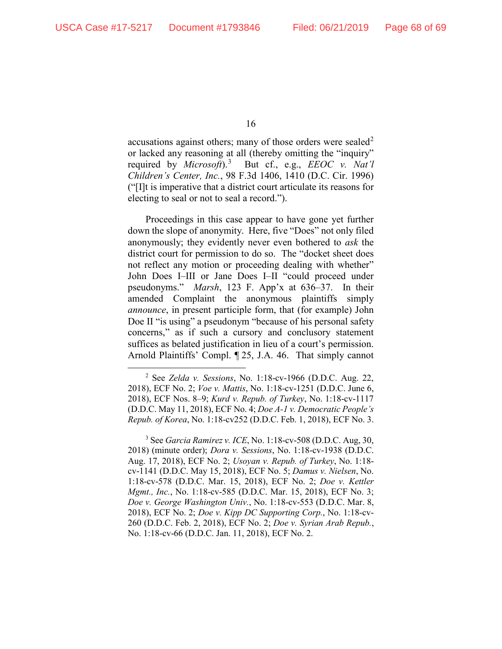accusations against others; many of those orders were sealed<sup>[2](#page-67-0)</sup> or lacked any reasoning at all (thereby omitting the "inquiry" required by *Microsoft*).[3](#page-67-1) But cf., e.g., *EEOC v. Nat'l Children's Center, Inc.*, 98 F.3d 1406, 1410 (D.C. Cir. 1996) ("[I]t is imperative that a district court articulate its reasons for electing to seal or not to seal a record.").

Proceedings in this case appear to have gone yet further down the slope of anonymity. Here, five "Does" not only filed anonymously; they evidently never even bothered to *ask* the district court for permission to do so. The "docket sheet does not reflect any motion or proceeding dealing with whether" John Does I–III or Jane Does I–II "could proceed under pseudonyms." *Marsh*, 123 F. App'x at 636–37. In their amended Complaint the anonymous plaintiffs simply *announce*, in present participle form, that (for example) John Doe II "is using" a pseudonym "because of his personal safety concerns," as if such a cursory and conclusory statement suffices as belated justification in lieu of a court's permission. Arnold Plaintiffs' Compl. ¶ 25, J.A. 46. That simply cannot

<span id="page-67-1"></span><sup>3</sup> See *Garcia Ramirez v. ICE*, No. 1:18-cv-508 (D.D.C. Aug, 30, 2018) (minute order); *Dora v. Sessions*, No. 1:18-cv-1938 (D.D.C. Aug. 17, 2018), ECF No. 2; *Usoyan v. Repub. of Turkey*, No. 1:18 cv-1141 (D.D.C. May 15, 2018), ECF No. 5; *Damus v. Nielsen*, No. 1:18-cv-578 (D.D.C. Mar. 15, 2018), ECF No. 2; *Doe v. Kettler Mgmt., Inc.*, No. 1:18-cv-585 (D.D.C. Mar. 15, 2018), ECF No. 3; *Doe v. George Washington Univ.*, No. 1:18-cv-553 (D.D.C. Mar. 8, 2018), ECF No. 2; *Doe v. Kipp DC Supporting Corp.*, No. 1:18-cv-260 (D.D.C. Feb. 2, 2018), ECF No. 2; *Doe v. Syrian Arab Repub.*, No. 1:18-cv-66 (D.D.C. Jan. 11, 2018), ECF No. 2.

<span id="page-67-0"></span> <sup>2</sup> See *Zelda v. Sessions*, No. 1:18-cv-1966 (D.D.C. Aug. 22, 2018), ECF No. 2; *Voe v. Mattis*, No. 1:18-cv-1251 (D.D.C. June 6, 2018), ECF Nos. 8–9; *Kurd v. Repub. of Turkey*, No. 1:18-cv-1117 (D.D.C. May 11, 2018), ECF No. 4; *Doe A-1 v. Democratic People's Repub. of Korea*, No. 1:18-cv252 (D.D.C. Feb. 1, 2018), ECF No. 3.